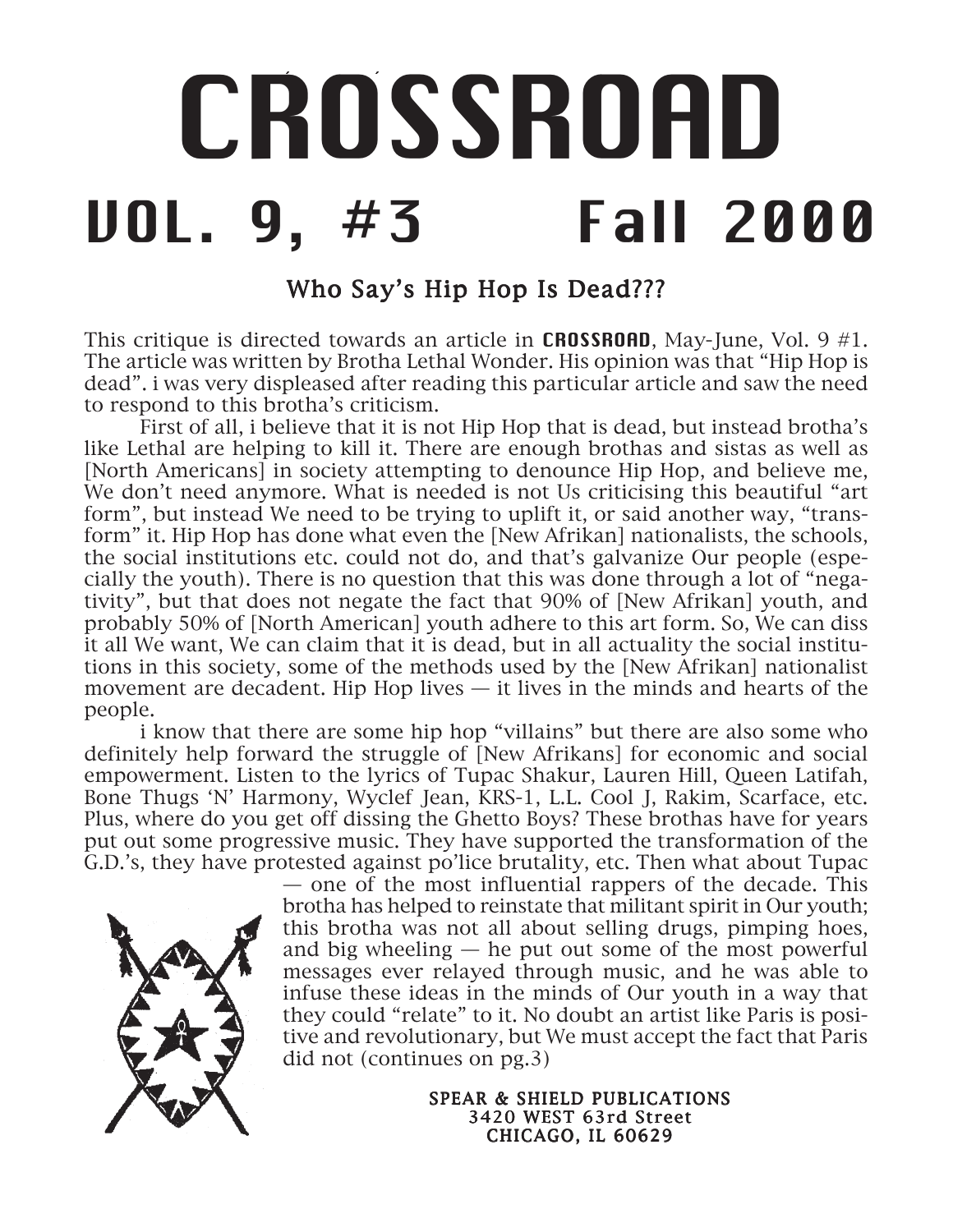# CROSS <u>In the second case of the second case of the second case of the second case of</u> **CROSSROAD** VOL. 9, #3 Fall 2000

### Who Say's Hip Hop Is Dead???

This critique is directed towards an article in **CROSSROAD**, May-June, Vol. 9  $#1$ . The article was written by Brotha Lethal Wonder. His opinion was that "Hip Hop is dead". i was very displeased after reading this particular article and saw the need to respond to this brotha's criticism.

First of all, i believe that it is not Hip Hop that is dead, but instead brotha's like Lethal are helping to kill it. There are enough brothas and sistas as well as [North Americans] in society attempting to denounce Hip Hop, and believe me, We don't need anymore. What is needed is not Us criticising this beautiful "art form", but instead We need to be trying to uplift it, or said another way, "transform" it. Hip Hop has done what even the [New Afrikan] nationalists, the schools, the social institutions etc. could not do, and that's galvanize Our people (especially the youth). There is no question that this was done through a lot of "negativity", but that does not negate the fact that 90% of [New Afrikan] youth, and probably 50% of [North American] youth adhere to this art form. So, We can diss it all We want, We can claim that it is dead, but in all actuality the social institutions in this society, some of the methods used by the [New Afrikan] nationalist movement are decadent. Hip Hop lives — it lives in the minds and hearts of the people.

i know that there are some hip hop "villains" but there are also some who definitely help forward the struggle of [New Afrikans] for economic and social empowerment. Listen to the lyrics of Tupac Shakur, Lauren Hill, Queen Latifah, Bone Thugs 'N' Harmony, Wyclef Jean, KRS-1, L.L. Cool J, Rakim, Scarface, etc. Plus, where do you get off dissing the Ghetto Boys? These brothas have for years put out some progressive music. They have supported the transformation of the G.D.'s, they have protested against po'lice brutality, etc. Then what about Tupac



— one of the most influential rappers of the decade. This brotha has helped to reinstate that militant spirit in Our youth; this brotha was not all about selling drugs, pimping hoes, and big wheeling — he put out some of the most powerful messages ever relayed through music, and he was able to infuse these ideas in the minds of Our youth in a way that they could "relate" to it. No doubt an artist like Paris is positive and revolutionary, but We must accept the fact that Paris did not (continues on pg.3)

> SPEAR & SHIELD PUBLICATIONS 3420 WEST 63rd Street CHICAGO, IL 60629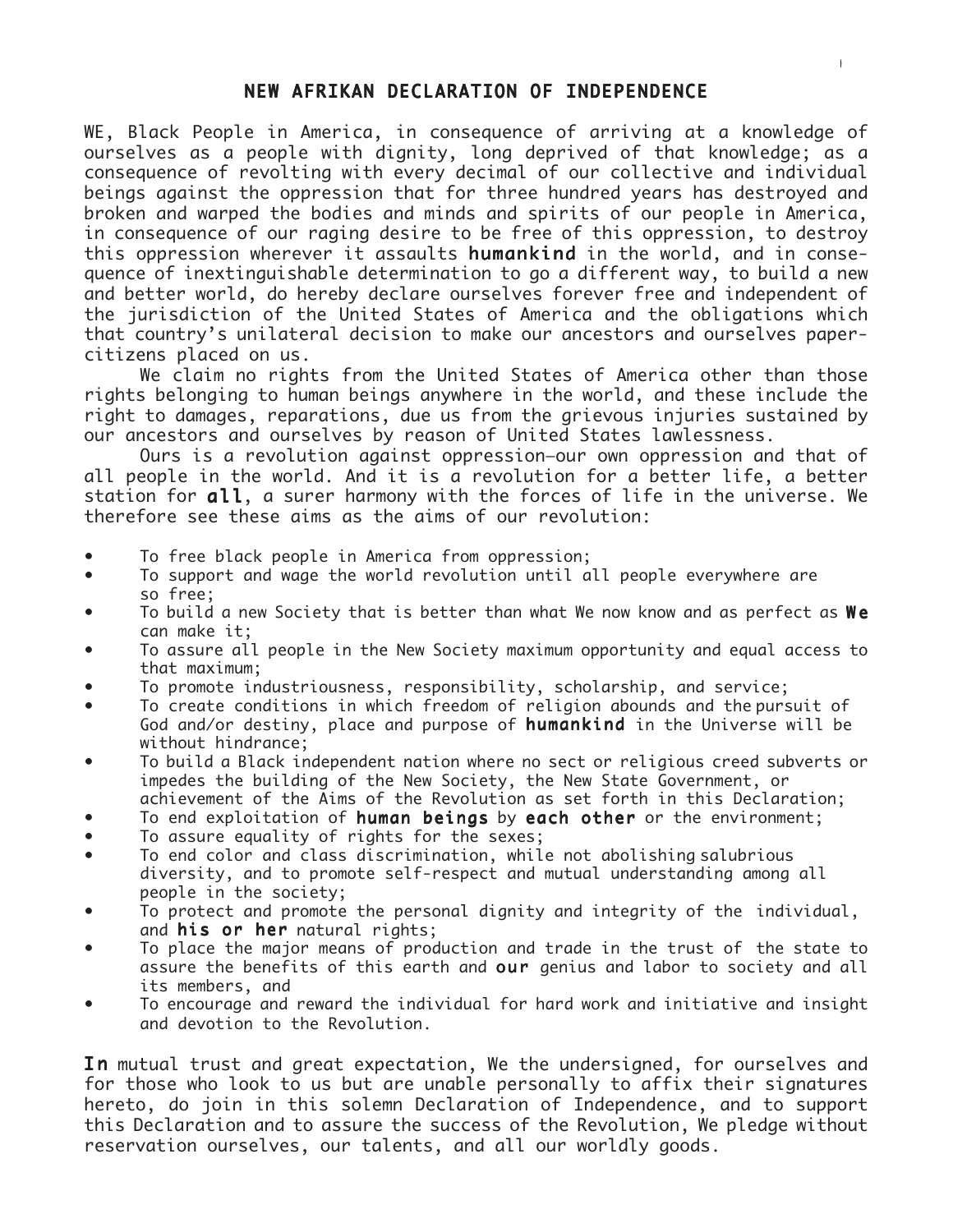WE, Black People in America, in consequence of arriving at a knowledge of ourselves as a people with dignity, long deprived of that knowledge; as a consequence of revolting with every decimal of our collective and individual beings against the oppression that for three hundred years has destroyed and broken and warped the bodies and minds and spirits of our people in America, in consequence of our raging desire to be free of this oppression, to destroy this oppression wherever it assaults humankind in the world, and in consequence of inextinguishable determination to go a different way, to build a new and better world, do hereby declare ourselves forever free and independent of the jurisdiction of the United States of America and the obligations which that country's unilateral decision to make our ancestors and ourselves papercitizens placed on us.

We claim no rights from the United States of America other than those rights belonging to human beings anywhere in the world, and these include the right to damages, reparations, due us from the grievous injuries sustained by our ancestors and ourselves by reason of United States lawlessness.

Ours is a revolution against oppression—our own oppression and that of all people in the world. And it is a revolution for a better life, a better station for all, a surer harmony with the forces of life in the universe. We therefore see these aims as the aims of our revolution:

- To free black people in America from oppression;
- To support and wage the world revolution until all people everywhere are so free;
- To build a new Society that is better than what We now know and as perfect as  $\mathbf{W}\mathbf{e}$ can make it;
- To assure all people in the New Society maximum opportunity and equal access to that maximum;
- To promote industriousness, responsibility, scholarship, and service;
- To create conditions in which freedom of religion abounds and the pursuit of God and/or destiny, place and purpose of **humankind** in the Universe will be without hindrance;
- To build a Black independent nation where no sect or religious creed subverts or impedes the building of the New Society, the New State Government, or achievement of the Aims of the Revolution as set forth in this Declaration;
- To end exploitation of human beings by each other or the environment;
- To assure equality of rights for the sexes;
- To end color and class discrimination, while not abolishing salubrious diversity, and to promote self-respect and mutual understanding among all people in the society;
- To protect and promote the personal dignity and integrity of the individual, and his or her natural rights;
- To place the major means of production and trade in the trust of the state to assure the benefits of this earth and our genius and labor to society and all its members, and
- To encourage and reward the individual for hard work and initiative and insight and devotion to the Revolution.

In mutual trust and great expectation, We the undersigned, for ourselves and for those who look to us but are unable personally to affix their signatures hereto, do join in this solemn Declaration of Independence, and to support this Declaration and to assure the success of the Revolution, We pledge without reservation ourselves, our talents, and all our worldly goods.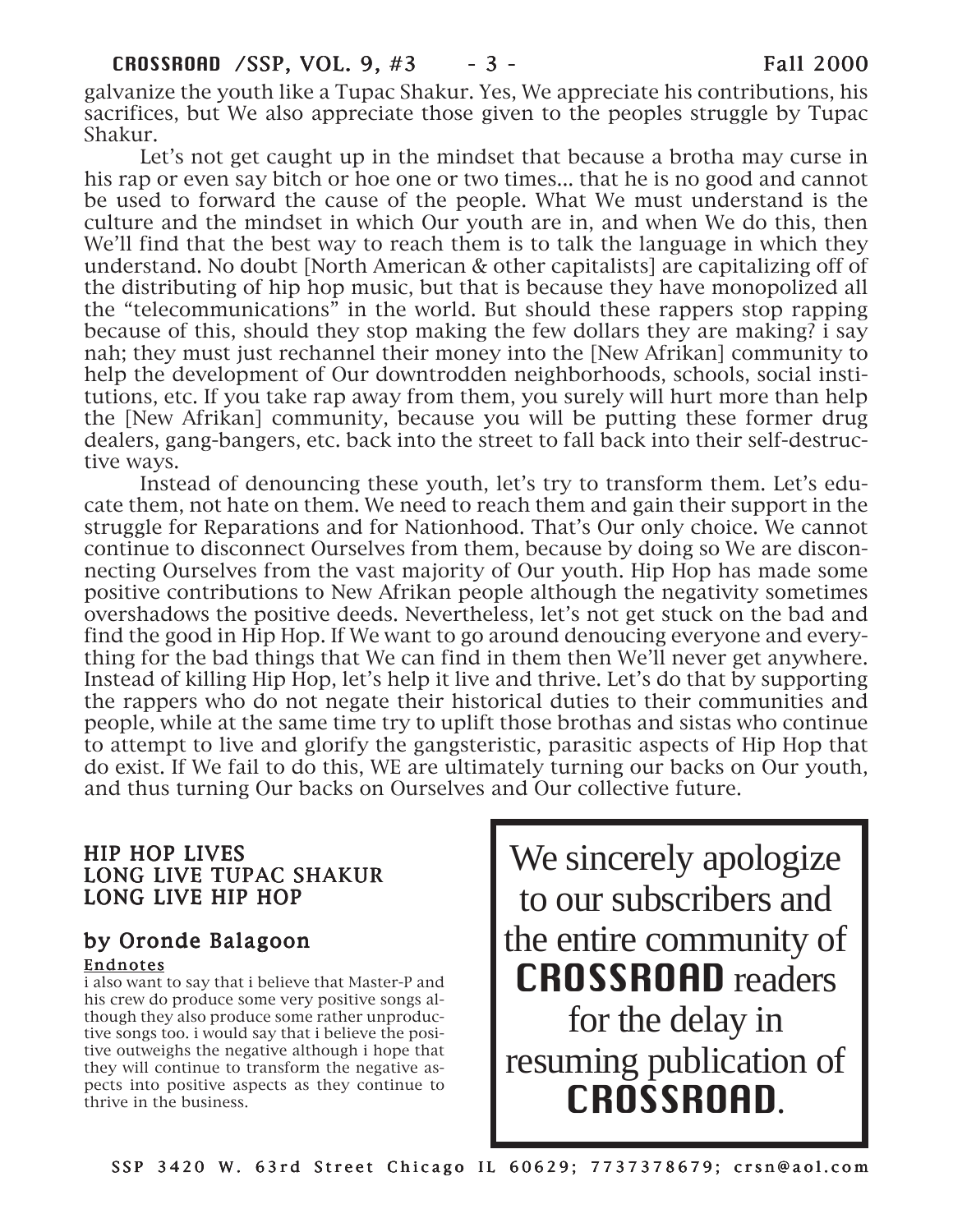galvanize the youth like a Tupac Shakur. Yes, We appreciate his contributions, his sacrifices, but We also appreciate those given to the peoples struggle by Tupac Shakur.

Let's not get caught up in the mindset that because a brotha may curse in his rap or even say bitch or hoe one or two times... that he is no good and cannot be used to forward the cause of the people. What We must understand is the culture and the mindset in which Our youth are in, and when We do this, then We'll find that the best way to reach them is to talk the language in which they understand. No doubt [North American & other capitalists] are capitalizing off of the distributing of hip hop music, but that is because they have monopolized all the "telecommunications" in the world. But should these rappers stop rapping because of this, should they stop making the few dollars they are making? i say nah; they must just rechannel their money into the [New Afrikan] community to help the development of Our downtrodden neighborhoods, schools, social institutions, etc. If you take rap away from them, you surely will hurt more than help the [New Afrikan] community, because you will be putting these former drug dealers, gang-bangers, etc. back into the street to fall back into their self-destructive ways.

Instead of denouncing these youth, let's try to transform them. Let's educate them, not hate on them. We need to reach them and gain their support in the struggle for Reparations and for Nationhood. That's Our only choice. We cannot continue to disconnect Ourselves from them, because by doing so We are disconnecting Ourselves from the vast majority of Our youth. Hip Hop has made some positive contributions to New Afrikan people although the negativity sometimes overshadows the positive deeds. Nevertheless, let's not get stuck on the bad and find the good in Hip Hop. If We want to go around denoucing everyone and everything for the bad things that We can find in them then We'll never get anywhere. Instead of killing Hip Hop, let's help it live and thrive. Let's do that by supporting the rappers who do not negate their historical duties to their communities and people, while at the same time try to uplift those brothas and sistas who continue to attempt to live and glorify the gangsteristic, parasitic aspects of Hip Hop that do exist. If We fail to do this, WE are ultimately turning our backs on Our youth, and thus turning Our backs on Ourselves and Our collective future.

#### HIP HOP LIVES LONG LIVE TUPAC SHAKUR LONG LIVE HIP HOP

#### by Oronde Balagoon Endnotes

i also want to say that i believe that Master-P and his crew do produce some very positive songs although they also produce some rather unproductive songs too. i would say that i believe the positive outweighs the negative although i hope that they will continue to transform the negative aspects into positive aspects as they continue to thrive in the business.

We sincerely apologize to our subscribers and the entire community of CROSSROAD readers for the delay in resuming publication of CROSSROAD.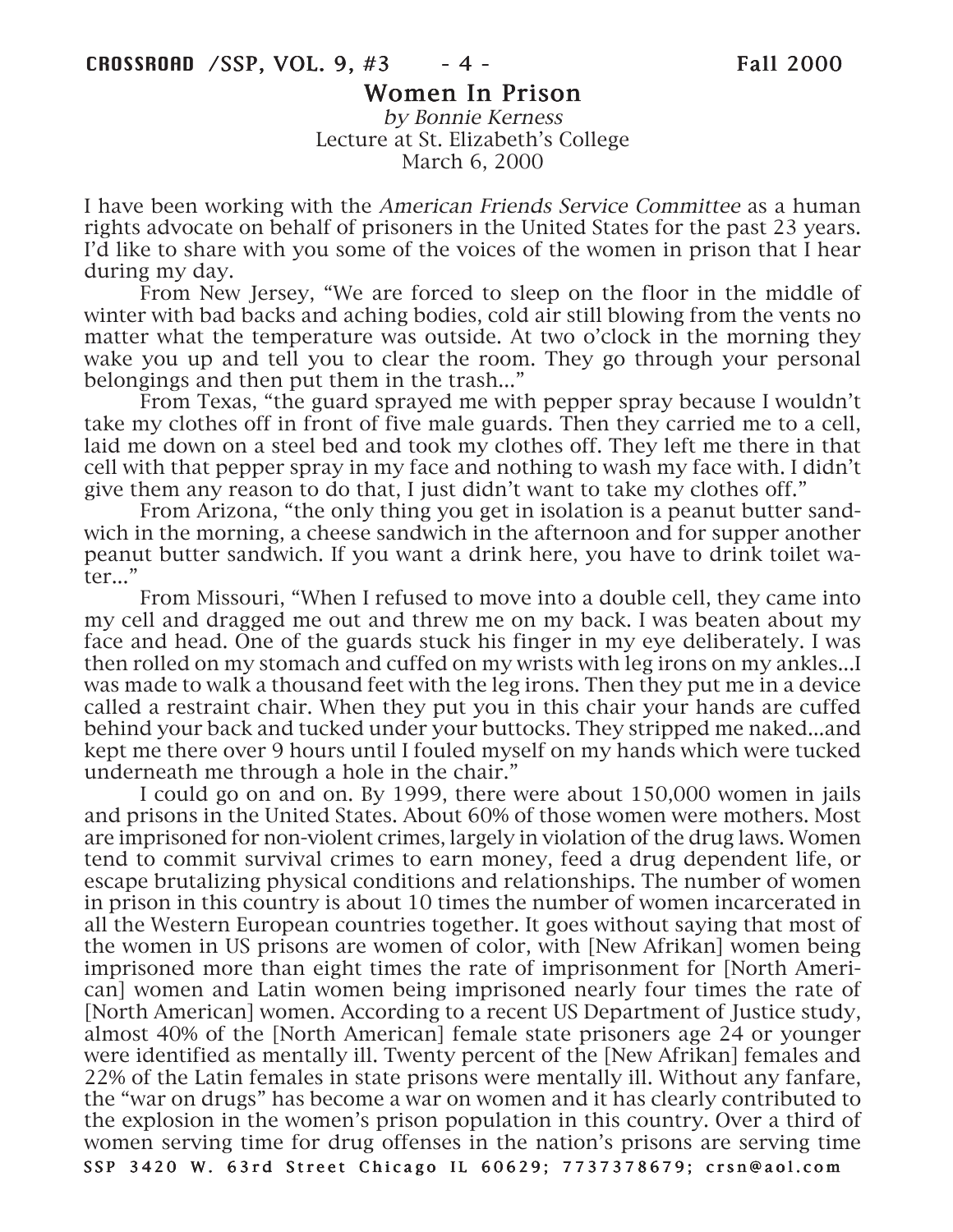#### Women In Prison

by Bonnie Kerness Lecture at St. Elizabeth's College March 6, 2000

I have been working with the American Friends Service Committee as a human rights advocate on behalf of prisoners in the United States for the past 23 years. I'd like to share with you some of the voices of the women in prison that I hear during my day.

From New Jersey, "We are forced to sleep on the floor in the middle of winter with bad backs and aching bodies, cold air still blowing from the vents no matter what the temperature was outside. At two o'clock in the morning they wake you up and tell you to clear the room. They go through your personal belongings and then put them in the trash..."

From Texas, "the guard sprayed me with pepper spray because I wouldn't take my clothes off in front of five male guards. Then they carried me to a cell, laid me down on a steel bed and took my clothes off. They left me there in that cell with that pepper spray in my face and nothing to wash my face with. I didn't give them any reason to do that, I just didn't want to take my clothes off."

From Arizona, "the only thing you get in isolation is a peanut butter sandwich in the morning, a cheese sandwich in the afternoon and for supper another peanut butter sandwich. If you want a drink here, you have to drink toilet water..."

From Missouri, "When I refused to move into a double cell, they came into my cell and dragged me out and threw me on my back. I was beaten about my face and head. One of the guards stuck his finger in my eye deliberately. I was then rolled on my stomach and cuffed on my wrists with leg irons on my ankles...I was made to walk a thousand feet with the leg irons. Then they put me in a device called a restraint chair. When they put you in this chair your hands are cuffed behind your back and tucked under your buttocks. They stripped me naked...and kept me there over 9 hours until I fouled myself on my hands which were tucked underneath me through a hole in the chair."

SSP 3420 W. 63rd Street Chicago IL 60629; 7737378679; crsn@aol.com I could go on and on. By 1999, there were about 150,000 women in jails and prisons in the United States. About 60% of those women were mothers. Most are imprisoned for non-violent crimes, largely in violation of the drug laws. Women tend to commit survival crimes to earn money, feed a drug dependent life, or escape brutalizing physical conditions and relationships. The number of women in prison in this country is about 10 times the number of women incarcerated in all the Western European countries together. It goes without saying that most of the women in US prisons are women of color, with [New Afrikan] women being imprisoned more than eight times the rate of imprisonment for [North American] women and Latin women being imprisoned nearly four times the rate of [North American] women. According to a recent US Department of Justice study, almost 40% of the [North American] female state prisoners age 24 or younger were identified as mentally ill. Twenty percent of the [New Afrikan] females and 22% of the Latin females in state prisons were mentally ill. Without any fanfare, the "war on drugs" has become a war on women and it has clearly contributed to the explosion in the women's prison population in this country. Over a third of women serving time for drug offenses in the nation's prisons are serving time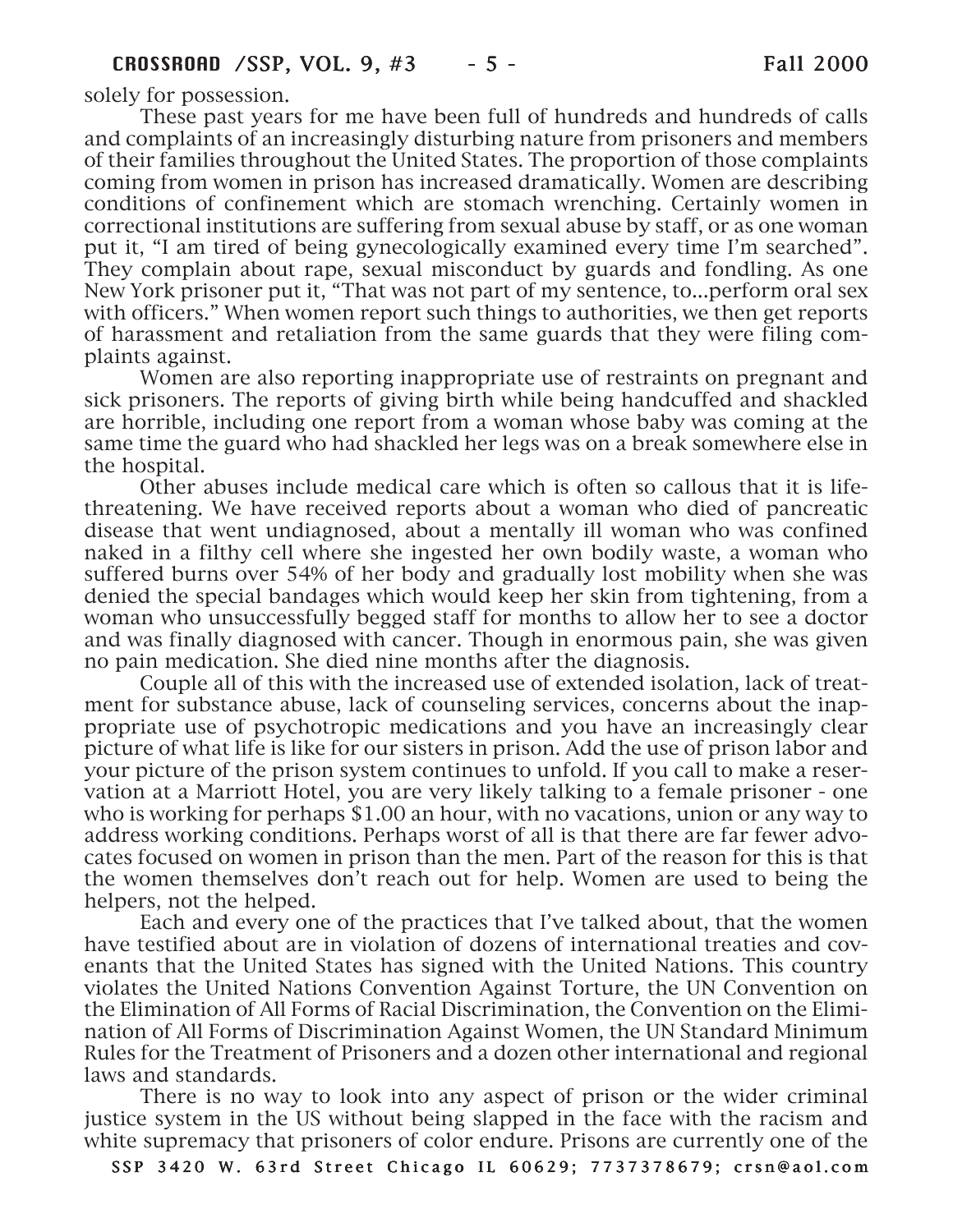solely for possession.

These past years for me have been full of hundreds and hundreds of calls and complaints of an increasingly disturbing nature from prisoners and members of their families throughout the United States. The proportion of those complaints coming from women in prison has increased dramatically. Women are describing conditions of confinement which are stomach wrenching. Certainly women in correctional institutions are suffering from sexual abuse by staff, or as one woman put it, "I am tired of being gynecologically examined every time I'm searched". They complain about rape, sexual misconduct by guards and fondling. As one New York prisoner put it, "That was not part of my sentence, to...perform oral sex with officers." When women report such things to authorities, we then get reports of harassment and retaliation from the same guards that they were filing complaints against.

Women are also reporting inappropriate use of restraints on pregnant and sick prisoners. The reports of giving birth while being handcuffed and shackled are horrible, including one report from a woman whose baby was coming at the same time the guard who had shackled her legs was on a break somewhere else in the hospital.

Other abuses include medical care which is often so callous that it is lifethreatening. We have received reports about a woman who died of pancreatic disease that went undiagnosed, about a mentally ill woman who was confined naked in a filthy cell where she ingested her own bodily waste, a woman who suffered burns over 54% of her body and gradually lost mobility when she was denied the special bandages which would keep her skin from tightening, from a woman who unsuccessfully begged staff for months to allow her to see a doctor and was finally diagnosed with cancer. Though in enormous pain, she was given no pain medication. She died nine months after the diagnosis.

Couple all of this with the increased use of extended isolation, lack of treatment for substance abuse, lack of counseling services, concerns about the inappropriate use of psychotropic medications and you have an increasingly clear picture of what life is like for our sisters in prison. Add the use of prison labor and your picture of the prison system continues to unfold. If you call to make a reservation at a Marriott Hotel, you are very likely talking to a female prisoner - one who is working for perhaps \$1.00 an hour, with no vacations, union or any way to address working conditions. Perhaps worst of all is that there are far fewer advocates focused on women in prison than the men. Part of the reason for this is that the women themselves don't reach out for help. Women are used to being the helpers, not the helped.

Each and every one of the practices that I've talked about, that the women have testified about are in violation of dozens of international treaties and covenants that the United States has signed with the United Nations. This country violates the United Nations Convention Against Torture, the UN Convention on the Elimination of All Forms of Racial Discrimination, the Convention on the Elimination of All Forms of Discrimination Against Women, the UN Standard Minimum Rules for the Treatment of Prisoners and a dozen other international and regional laws and standards.

There is no way to look into any aspect of prison or the wider criminal justice system in the US without being slapped in the face with the racism and white supremacy that prisoners of color endure. Prisons are currently one of the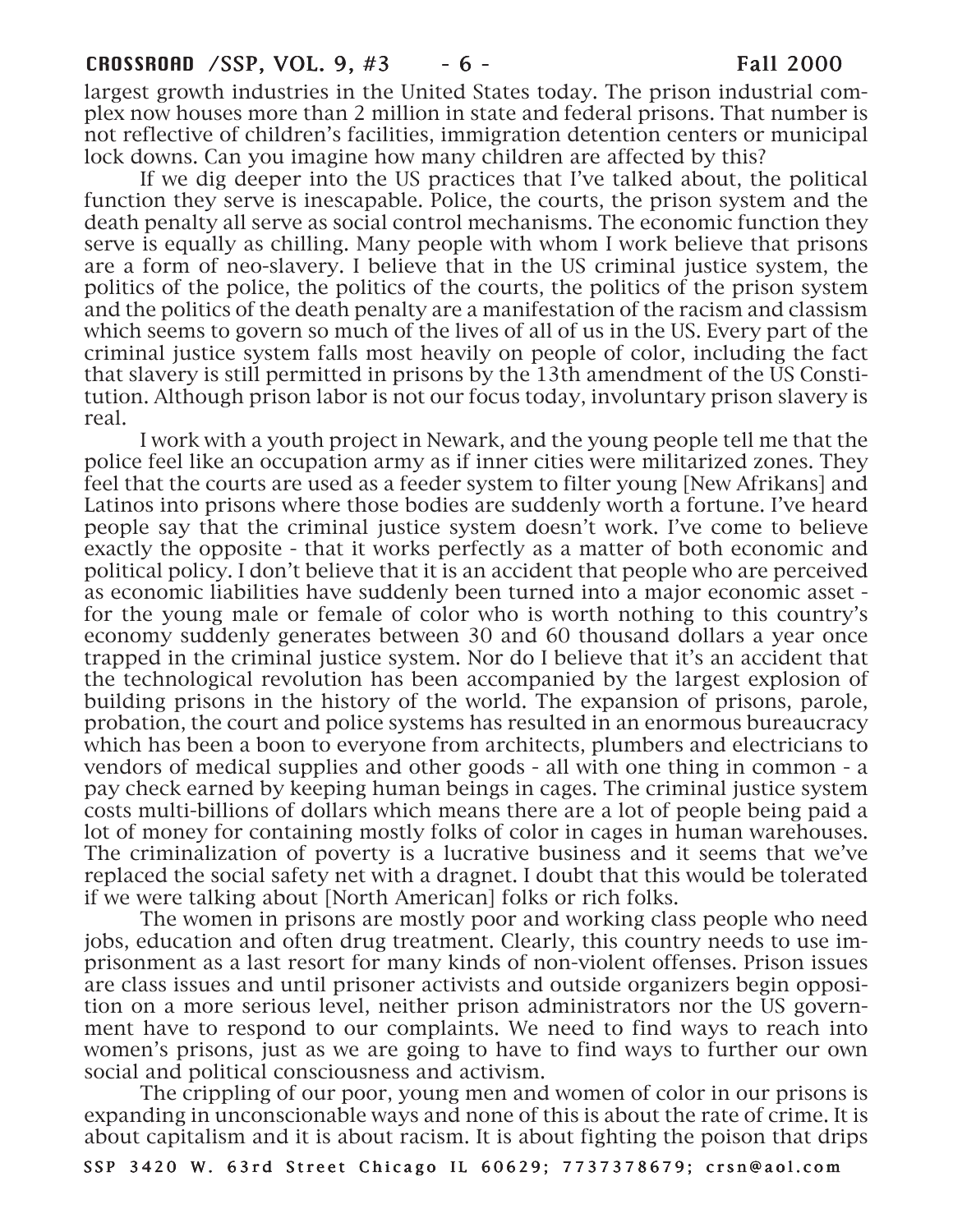#### CROSSROAD /SSP, VOL. 9, #3 - 6 - Fall 2000

largest growth industries in the United States today. The prison industrial complex now houses more than 2 million in state and federal prisons. That number is not reflective of children's facilities, immigration detention centers or municipal lock downs. Can you imagine how many children are affected by this?

If we dig deeper into the US practices that I've talked about, the political function they serve is inescapable. Police, the courts, the prison system and the death penalty all serve as social control mechanisms. The economic function they serve is equally as chilling. Many people with whom I work believe that prisons are a form of neo-slavery. I believe that in the US criminal justice system, the politics of the police, the politics of the courts, the politics of the prison system and the politics of the death penalty are a manifestation of the racism and classism which seems to govern so much of the lives of all of us in the US. Every part of the criminal justice system falls most heavily on people of color, including the fact that slavery is still permitted in prisons by the 13th amendment of the US Constitution. Although prison labor is not our focus today, involuntary prison slavery is real.

I work with a youth project in Newark, and the young people tell me that the police feel like an occupation army as if inner cities were militarized zones. They feel that the courts are used as a feeder system to filter young [New Afrikans] and Latinos into prisons where those bodies are suddenly worth a fortune. I've heard people say that the criminal justice system doesn't work. I've come to believe exactly the opposite - that it works perfectly as a matter of both economic and political policy. I don't believe that it is an accident that people who are perceived as economic liabilities have suddenly been turned into a major economic asset for the young male or female of color who is worth nothing to this country's economy suddenly generates between 30 and 60 thousand dollars a year once trapped in the criminal justice system. Nor do I believe that it's an accident that the technological revolution has been accompanied by the largest explosion of building prisons in the history of the world. The expansion of prisons, parole, probation, the court and police systems has resulted in an enormous bureaucracy which has been a boon to everyone from architects, plumbers and electricians to vendors of medical supplies and other goods - all with one thing in common - a pay check earned by keeping human beings in cages. The criminal justice system costs multi-billions of dollars which means there are a lot of people being paid a lot of money for containing mostly folks of color in cages in human warehouses. The criminalization of poverty is a lucrative business and it seems that we've replaced the social safety net with a dragnet. I doubt that this would be tolerated if we were talking about [North American] folks or rich folks.

The women in prisons are mostly poor and working class people who need jobs, education and often drug treatment. Clearly, this country needs to use imprisonment as a last resort for many kinds of non-violent offenses. Prison issues are class issues and until prisoner activists and outside organizers begin opposition on a more serious level, neither prison administrators nor the US government have to respond to our complaints. We need to find ways to reach into women's prisons, just as we are going to have to find ways to further our own social and political consciousness and activism.

The crippling of our poor, young men and women of color in our prisons is expanding in unconscionable ways and none of this is about the rate of crime. It is about capitalism and it is about racism. It is about fighting the poison that drips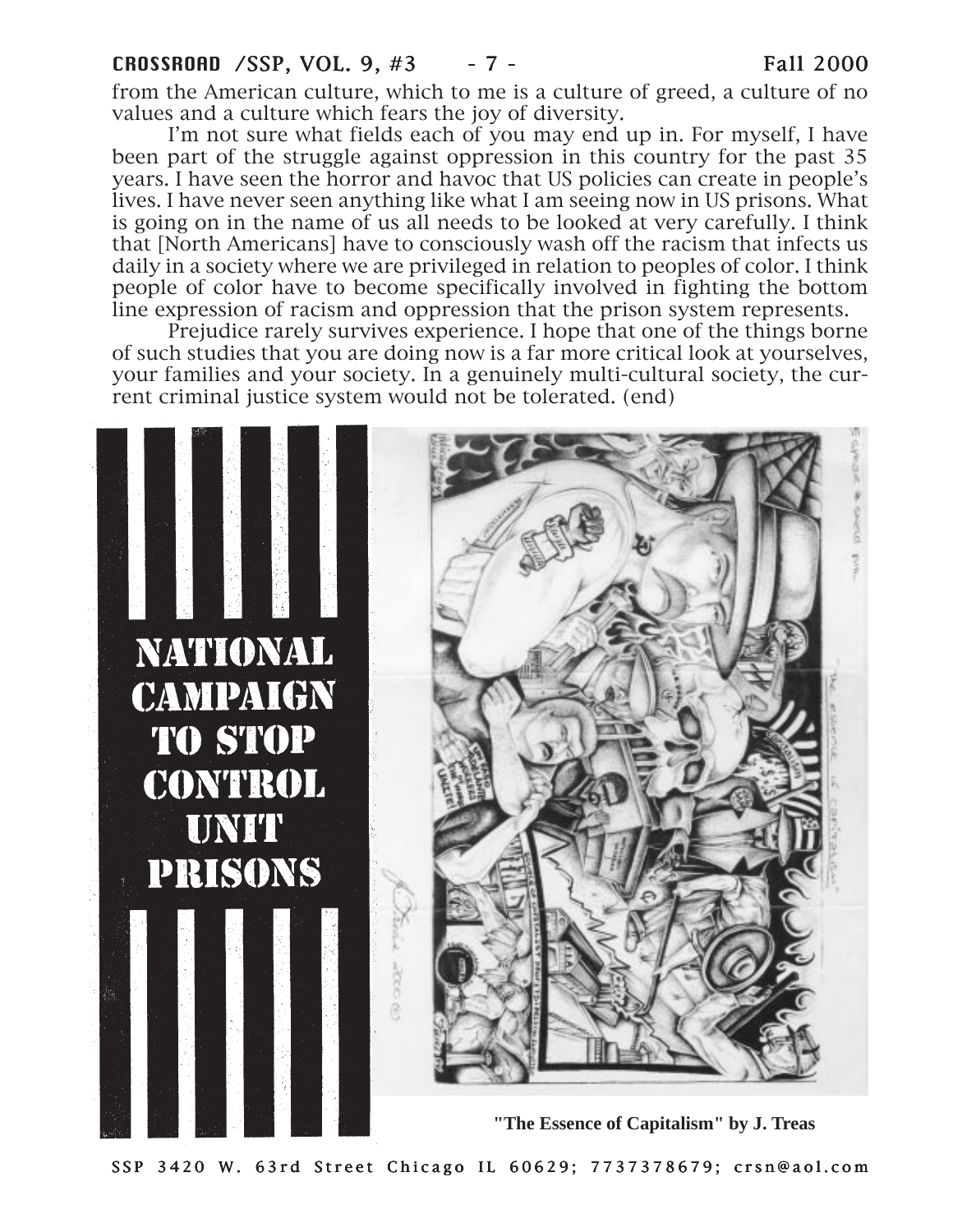#### CROSSROAD /SSP, VOL. 9, #3 - 7 - Fall 2000

from the American culture, which to me is a culture of greed, a culture of no values and a culture which fears the joy of diversity.

I'm not sure what fields each of you may end up in. For myself, I have been part of the struggle against oppression in this country for the past 35 years. I have seen the horror and havoc that US policies can create in people's lives. I have never seen anything like what I am seeing now in US prisons. What is going on in the name of us all needs to be looked at very carefully. I think that [North Americans] have to consciously wash off the racism that infects us daily in a society where we are privileged in relation to peoples of color. I think people of color have to become specifically involved in fighting the bottom line expression of racism and oppression that the prison system represents.

Prejudice rarely survives experience. I hope that one of the things borne of such studies that you are doing now is a far more critical look at yourselves, your families and your society. In a genuinely multi-cultural society, the current criminal justice system would not be tolerated. (end)

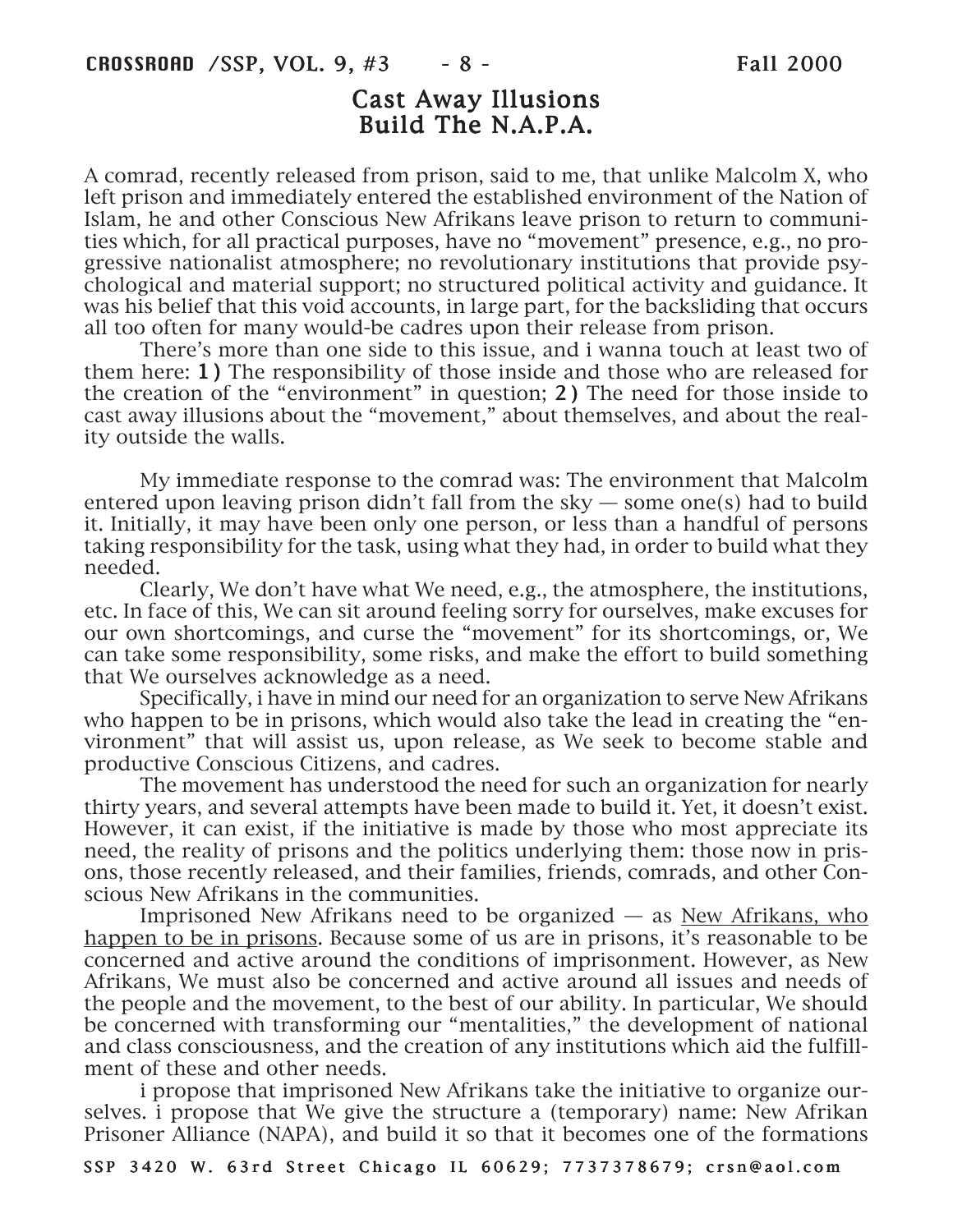#### Cast Away Illusions Build The N.A.P.A.

A comrad, recently released from prison, said to me, that unlike Malcolm X, who left prison and immediately entered the established environment of the Nation of Islam, he and other Conscious New Afrikans leave prison to return to communities which, for all practical purposes, have no "movement" presence, e.g., no progressive nationalist atmosphere; no revolutionary institutions that provide psychological and material support; no structured political activity and guidance. It was his belief that this void accounts, in large part, for the backsliding that occurs all too often for many would-be cadres upon their release from prison.

There's more than one side to this issue, and i wanna touch at least two of them here: 1) The responsibility of those inside and those who are released for the creation of the "environment" in question; 2) The need for those inside to cast away illusions about the "movement," about themselves, and about the reality outside the walls.

My immediate response to the comrad was: The environment that Malcolm entered upon leaving prison didn't fall from the  $sky$  — some one(s) had to build it. Initially, it may have been only one person, or less than a handful of persons taking responsibility for the task, using what they had, in order to build what they needed.

Clearly, We don't have what We need, e.g., the atmosphere, the institutions, etc. In face of this, We can sit around feeling sorry for ourselves, make excuses for our own shortcomings, and curse the "movement" for its shortcomings, or, We can take some responsibility, some risks, and make the effort to build something that We ourselves acknowledge as a need.

Specifically, i have in mind our need for an organization to serve New Afrikans who happen to be in prisons, which would also take the lead in creating the "environment" that will assist us, upon release, as We seek to become stable and productive Conscious Citizens, and cadres.

The movement has understood the need for such an organization for nearly thirty years, and several attempts have been made to build it. Yet, it doesn't exist. However, it can exist, if the initiative is made by those who most appreciate its need, the reality of prisons and the politics underlying them: those now in prisons, those recently released, and their families, friends, comrads, and other Conscious New Afrikans in the communities.

Imprisoned New Afrikans need to be organized  $-$  as <u>New Afrikans, who</u> happen to be in prisons. Because some of us are in prisons, it's reasonable to be concerned and active around the conditions of imprisonment. However, as New Afrikans, We must also be concerned and active around all issues and needs of the people and the movement, to the best of our ability. In particular, We should be concerned with transforming our "mentalities," the development of national and class consciousness, and the creation of any institutions which aid the fulfillment of these and other needs.

i propose that imprisoned New Afrikans take the initiative to organize ourselves. i propose that We give the structure a (temporary) name: New Afrikan Prisoner Alliance (NAPA), and build it so that it becomes one of the formations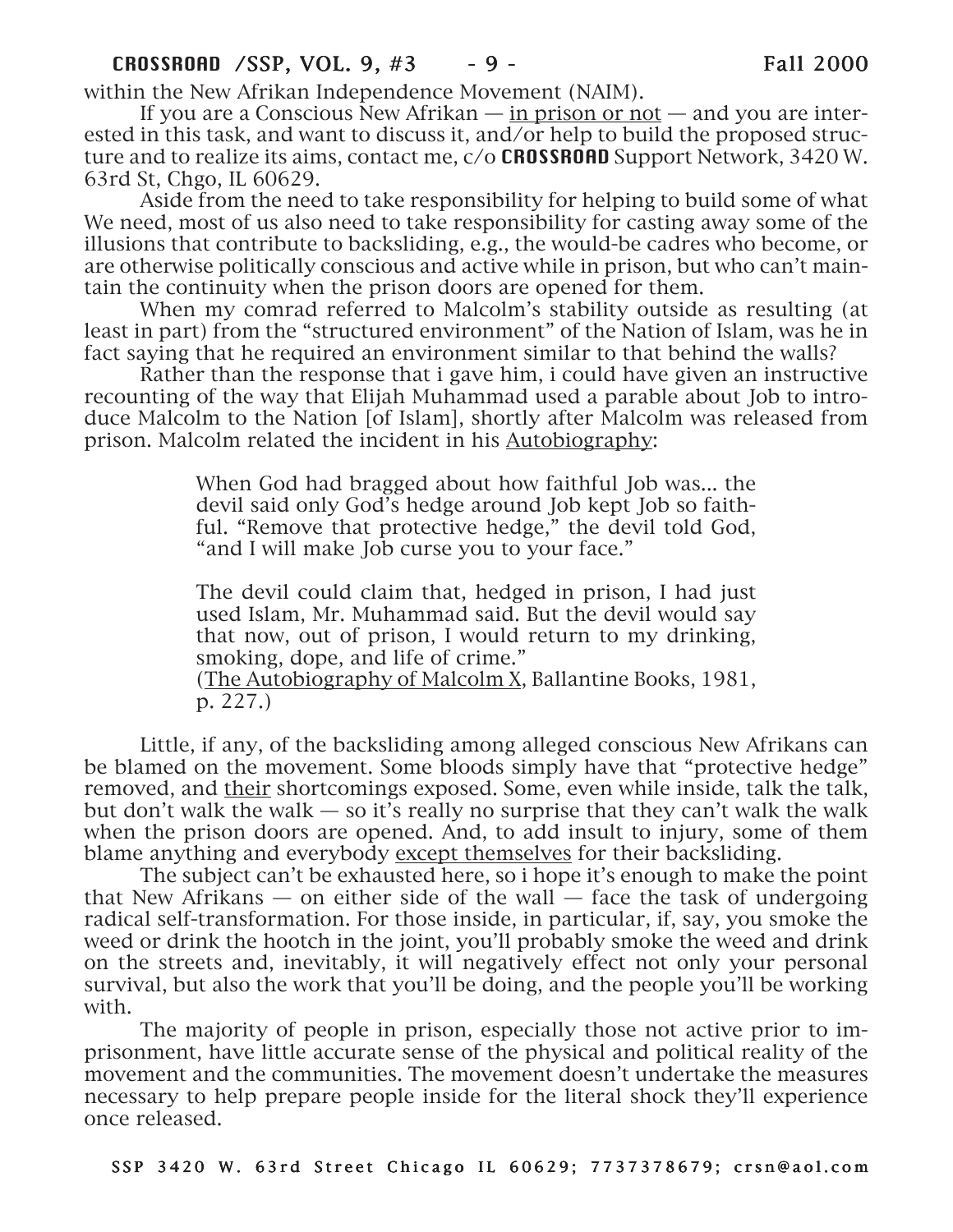within the New Afrikan Independence Movement (NAIM).

If you are a Conscious New Afrikan  $-\underline{\text{in}}$  prison or not  $-\text{and}$  you are interested in this task, and want to discuss it, and/or help to build the proposed structure and to realize its aims, contact me, c/o **CROSSROAD** Support Network, 3420 W. 63rd St, Chgo, IL 60629.

Aside from the need to take responsibility for helping to build some of what We need, most of us also need to take responsibility for casting away some of the illusions that contribute to backsliding, e.g., the would-be cadres who become, or are otherwise politically conscious and active while in prison, but who can't maintain the continuity when the prison doors are opened for them.

When my comrad referred to Malcolm's stability outside as resulting (at least in part) from the "structured environment" of the Nation of Islam, was he in fact saying that he required an environment similar to that behind the walls?

Rather than the response that i gave him, i could have given an instructive recounting of the way that Elijah Muhammad used a parable about Job to introduce Malcolm to the Nation [of Islam], shortly after Malcolm was released from prison. Malcolm related the incident in his Autobiography:

> When God had bragged about how faithful Job was... the devil said only God's hedge around Job kept Job so faithful. "Remove that protective hedge," the devil told God, "and I will make Job curse you to your face."

> The devil could claim that, hedged in prison, I had just used Islam, Mr. Muhammad said. But the devil would say that now, out of prison, I would return to my drinking, smoking, dope, and life of crime."

(The Autobiography of Malcolm X, Ballantine Books, 1981, p. 227.)

Little, if any, of the backsliding among alleged conscious New Afrikans can be blamed on the movement. Some bloods simply have that "protective hedge" removed, and their shortcomings exposed. Some, even while inside, talk the talk, but don't walk the walk  $-$  so it's really no surprise that they can't walk the walk when the prison doors are opened. And, to add insult to injury, some of them blame anything and everybody except themselves for their backsliding.

The subject can't be exhausted here, so i hope it's enough to make the point that New Afrikans — on either side of the wall — face the task of undergoing radical self-transformation. For those inside, in particular, if, say, you smoke the weed or drink the hootch in the joint, you'll probably smoke the weed and drink on the streets and, inevitably, it will negatively effect not only your personal survival, but also the work that you'll be doing, and the people you'll be working with.

The majority of people in prison, especially those not active prior to imprisonment, have little accurate sense of the physical and political reality of the movement and the communities. The movement doesn't undertake the measures necessary to help prepare people inside for the literal shock they'll experience once released.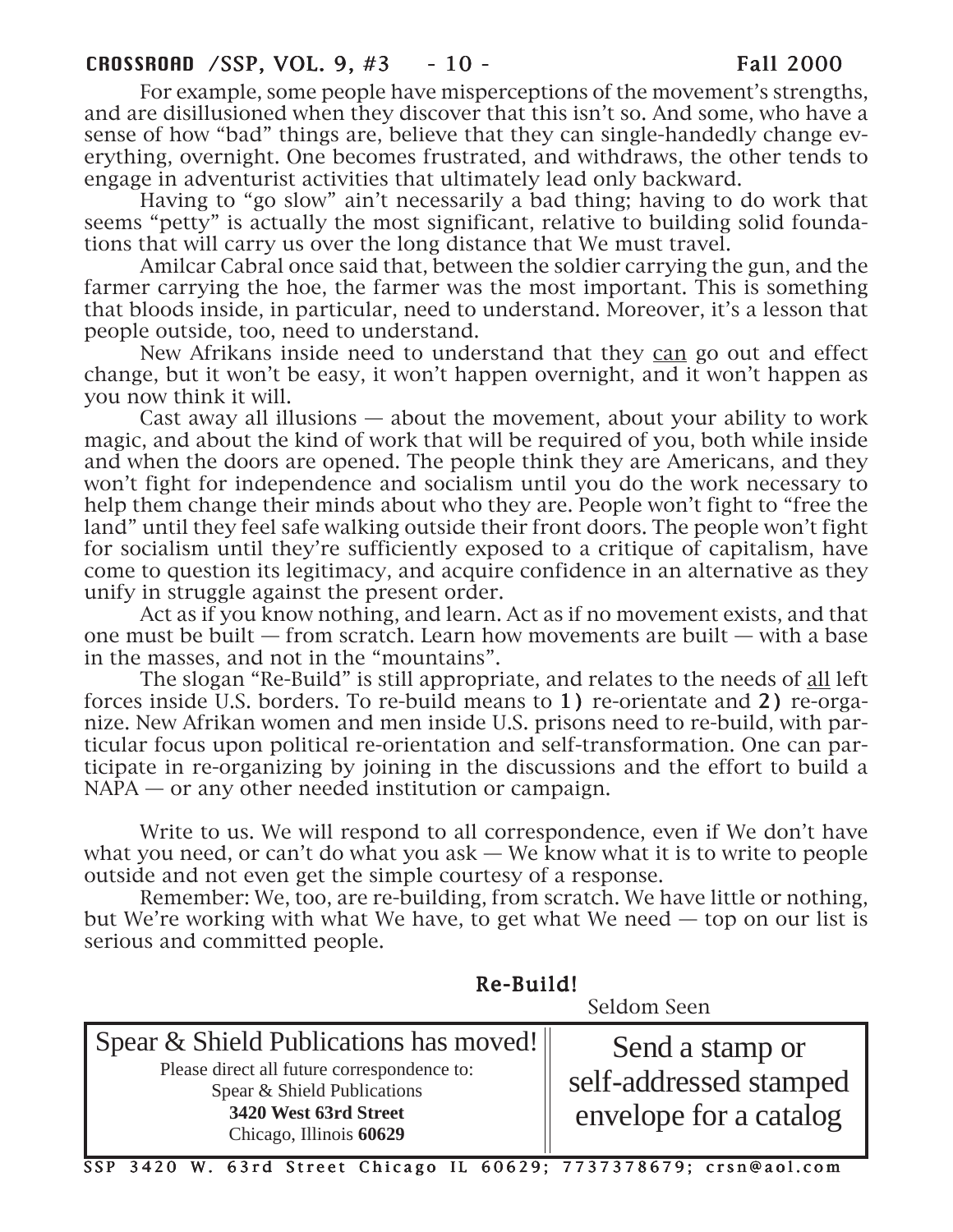For example, some people have misperceptions of the movement's strengths, and are disillusioned when they discover that this isn't so. And some, who have a sense of how "bad" things are, believe that they can single-handedly change everything, overnight. One becomes frustrated, and withdraws, the other tends to engage in adventurist activities that ultimately lead only backward.

Having to "go slow" ain't necessarily a bad thing; having to do work that seems "petty" is actually the most significant, relative to building solid foundations that will carry us over the long distance that We must travel.

Amilcar Cabral once said that, between the soldier carrying the gun, and the farmer carrying the hoe, the farmer was the most important. This is something that bloods inside, in particular, need to understand. Moreover, it's a lesson that people outside, too, need to understand.

New Afrikans inside need to understand that they can go out and effect change, but it won't be easy, it won't happen overnight, and it won't happen as you now think it will.

Cast away all illusions  $-$  about the movement, about your ability to work magic, and about the kind of work that will be required of you, both while inside and when the doors are opened. The people think they are Americans, and they won't fight for independence and socialism until you do the work necessary to help them change their minds about who they are. People won't fight to "free the land" until they feel safe walking outside their front doors. The people won't fight for socialism until they're sufficiently exposed to a critique of capitalism, have come to question its legitimacy, and acquire confidence in an alternative as they unify in struggle against the present order.

Act as if you know nothing, and learn. Act as if no movement exists, and that one must be built — from scratch. Learn how movements are built — with a base in the masses, and not in the "mountains".

The slogan "Re-Build" is still appropriate, and relates to the needs of all left forces inside U.S. borders. To re-build means to  $1$ ) re-orientate and  $2$ ) re-organize. New Afrikan women and men inside U.S. prisons need to re-build, with particular focus upon political re-orientation and self-transformation. One can participate in re-organizing by joining in the discussions and the effort to build a NAPA — or any other needed institution or campaign.

Write to us. We will respond to all correspondence, even if We don't have what you need, or can't do what you ask — We know what it is to write to people outside and not even get the simple courtesy of a response.

Remember: We, too, are re-building, from scratch. We have little or nothing, but We're working with what We have, to get what We need — top on our list is serious and committed people.

| Re-Build!                                                                                                                                                                |                                                                     |
|--------------------------------------------------------------------------------------------------------------------------------------------------------------------------|---------------------------------------------------------------------|
|                                                                                                                                                                          | Seldom Seen                                                         |
| Spear & Shield Publications has moved!<br>Please direct all future correspondence to:<br>Spear & Shield Publications<br>3420 West 63rd Street<br>Chicago, Illinois 60629 | Send a stamp or<br>self-addressed stamped<br>envelope for a catalog |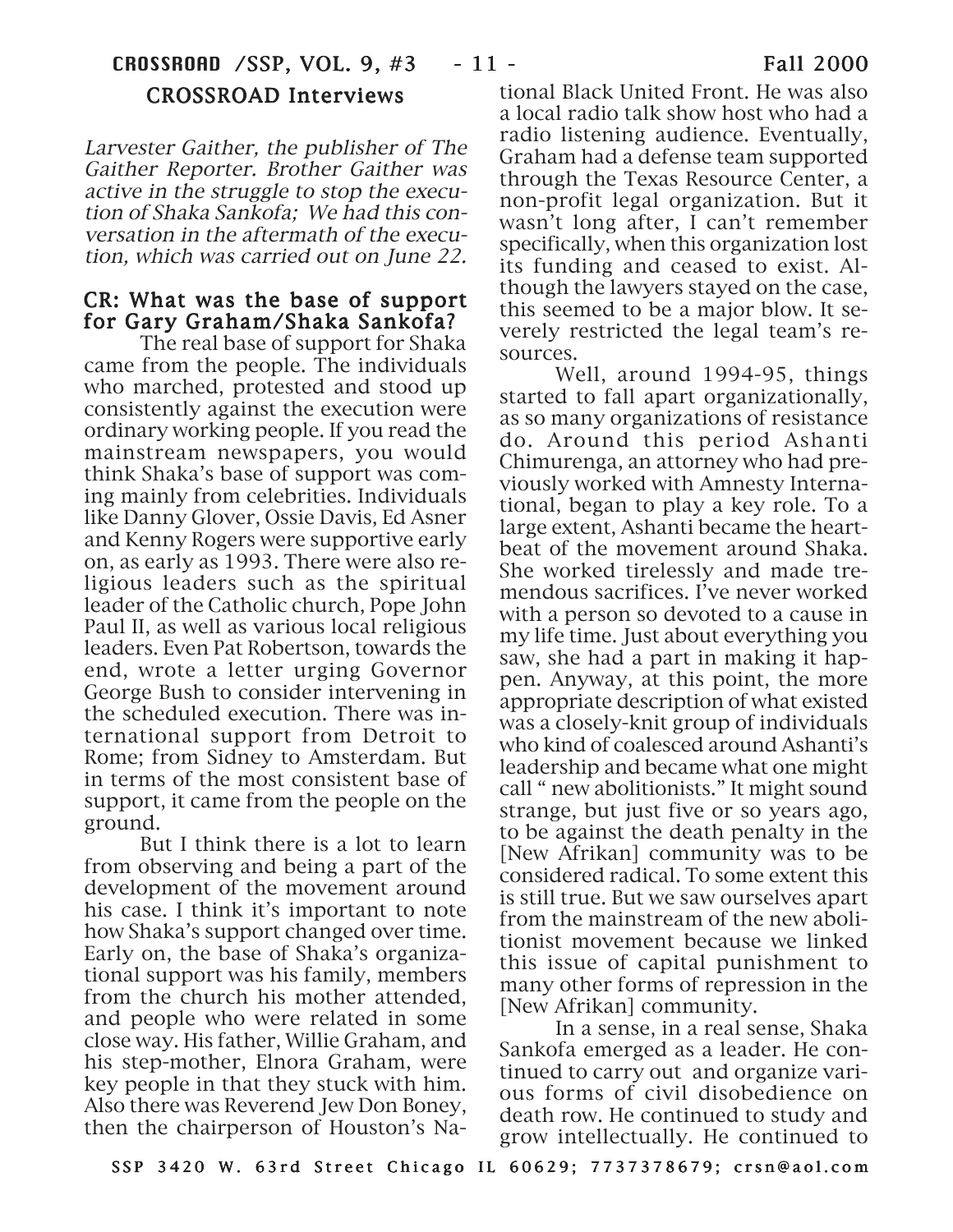Larvester Gaither, the publisher of The Gaither Reporter. Brother Gaither was active in the struggle to stop the execution of Shaka Sankofa; We had this conversation in the aftermath of the execution, which was carried out on June 22.

#### CR: What was the base of support for Gary Graham/Shaka Sankofa?

The real base of support for Shaka came from the people. The individuals who marched, protested and stood up consistently against the execution were ordinary working people. If you read the mainstream newspapers, you would think Shaka's base of support was coming mainly from celebrities. Individuals like Danny Glover, Ossie Davis, Ed Asner and Kenny Rogers were supportive early on, as early as 1993. There were also religious leaders such as the spiritual leader of the Catholic church, Pope John Paul II, as well as various local religious leaders. Even Pat Robertson, towards the end, wrote a letter urging Governor George Bush to consider intervening in the scheduled execution. There was international support from Detroit to Rome; from Sidney to Amsterdam. But in terms of the most consistent base of support, it came from the people on the ground.

But I think there is a lot to learn from observing and being a part of the development of the movement around his case. I think it's important to note how Shaka's support changed over time. Early on, the base of Shaka's organizational support was his family, members from the church his mother attended, and people who were related in some close way. His father, Willie Graham, and his step-mother, Elnora Graham, were key people in that they stuck with him. Also there was Reverend Jew Don Boney, then the chairperson of Houston's Na-

tional Black United Front. He was also a local radio talk show host who had a radio listening audience. Eventually, Graham had a defense team supported through the Texas Resource Center, a non-profit legal organization. But it wasn't long after, I can't remember specifically, when this organization lost its funding and ceased to exist. Although the lawyers stayed on the case, this seemed to be a major blow. It severely restricted the legal team's resources.

Well, around 1994-95, things started to fall apart organizationally, as so many organizations of resistance do. Around this period Ashanti Chimurenga, an attorney who had previously worked with Amnesty International, began to play a key role. To a large extent, Ashanti became the heartbeat of the movement around Shaka. She worked tirelessly and made tremendous sacrifices. I've never worked with a person so devoted to a cause in my life time. Just about everything you saw, she had a part in making it happen. Anyway, at this point, the more appropriate description of what existed was a closely-knit group of individuals who kind of coalesced around Ashanti's leadership and became what one might call " new abolitionists." It might sound strange, but just five or so years ago, to be against the death penalty in the [New Afrikan] community was to be considered radical. To some extent this is still true. But we saw ourselves apart from the mainstream of the new abolitionist movement because we linked this issue of capital punishment to many other forms of repression in the [New Afrikan] community.

In a sense, in a real sense, Shaka Sankofa emerged as a leader. He continued to carry out and organize various forms of civil disobedience on death row. He continued to study and grow intellectually. He continued to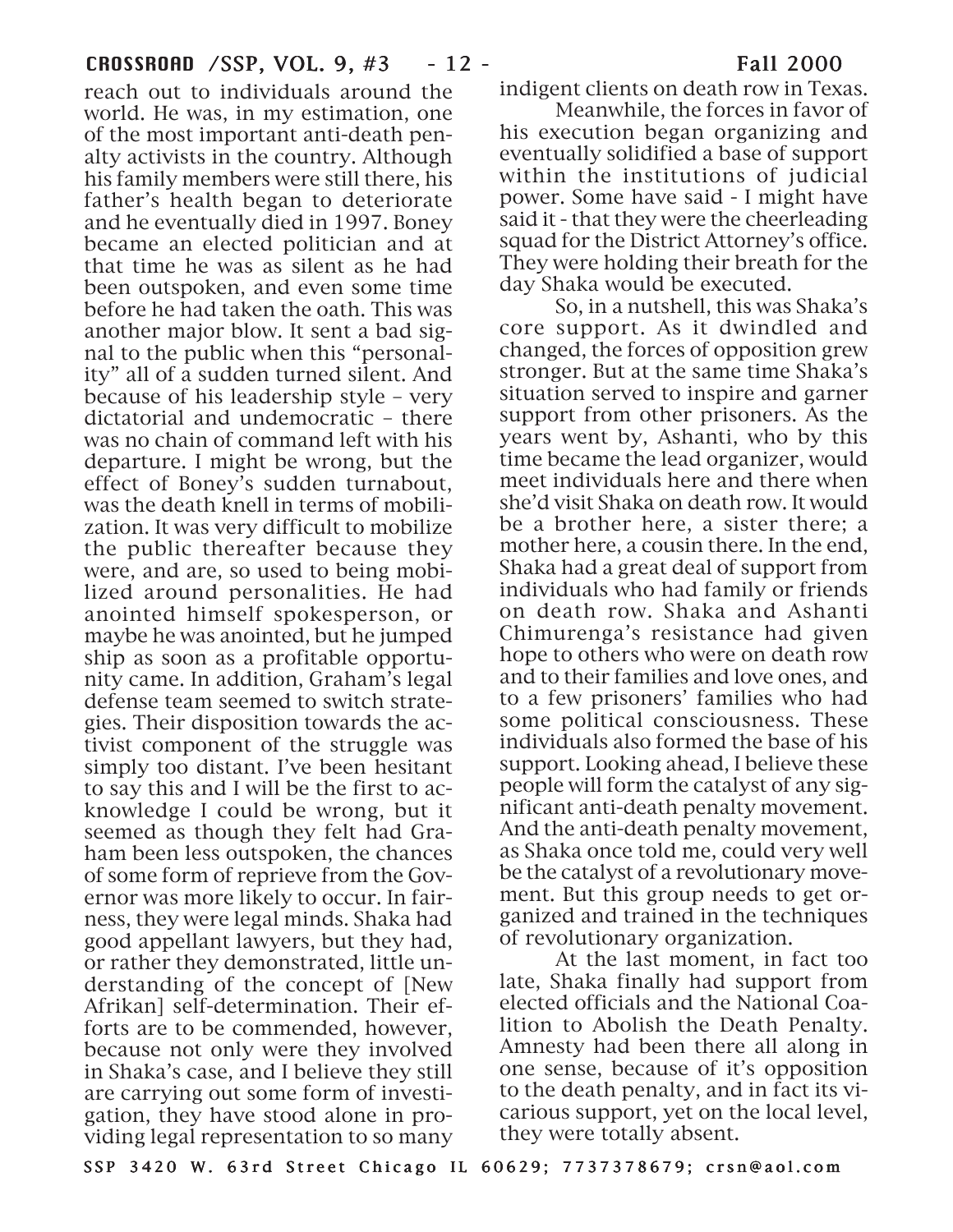reach out to individuals around the

world. He was, in my estimation, one of the most important anti-death penalty activists in the country. Although his family members were still there, his father's health began to deteriorate and he eventually died in 1997. Boney became an elected politician and at that time he was as silent as he had been outspoken, and even some time before he had taken the oath. This was another major blow. It sent a bad signal to the public when this "personality" all of a sudden turned silent. And because of his leadership style – very dictatorial and undemocratic – there was no chain of command left with his departure. I might be wrong, but the effect of Boney's sudden turnabout, was the death knell in terms of mobilization. It was very difficult to mobilize the public thereafter because they were, and are, so used to being mobilized around personalities. He had anointed himself spokesperson, or maybe he was anointed, but he jumped ship as soon as a profitable opportunity came. In addition, Graham's legal defense team seemed to switch strategies. Their disposition towards the activist component of the struggle was simply too distant. I've been hesitant to say this and I will be the first to acknowledge I could be wrong, but it seemed as though they felt had Graham been less outspoken, the chances of some form of reprieve from the Governor was more likely to occur. In fairness, they were legal minds. Shaka had good appellant lawyers, but they had, or rather they demonstrated, little understanding of the concept of [New Afrikan] self-determination. Their efforts are to be commended, however, because not only were they involved in Shaka's case, and I believe they still are carrying out some form of investigation, they have stood alone in providing legal representation to so many

power. Some have said - I might have said it - that they were the cheerleading squad for the District Attorney's office. They were holding their breath for the day Shaka would be executed. So, in a nutshell, this was Shaka's core support. As it dwindled and changed, the forces of opposition grew stronger. But at the same time Shaka's situation served to inspire and garner support from other prisoners. As the years went by, Ashanti, who by this time became the lead organizer, would meet individuals here and there when she'd visit Shaka on death row. It would be a brother here, a sister there; a mother here, a cousin there. In the end, Shaka had a great deal of support from individuals who had family or friends on death row. Shaka and Ashanti Chimurenga's resistance had given hope to others who were on death row and to their families and love ones, and

to a few prisoners' families who had some political consciousness. These individuals also formed the base of his support. Looking ahead, I believe these people will form the catalyst of any significant anti-death penalty movement. And the anti-death penalty movement, as Shaka once told me, could very well be the catalyst of a revolutionary movement. But this group needs to get organized and trained in the techniques of revolutionary organization.

At the last moment, in fact too late, Shaka finally had support from elected officials and the National Coalition to Abolish the Death Penalty. Amnesty had been there all along in one sense, because of it's opposition to the death penalty, and in fact its vicarious support, yet on the local level, they were totally absent.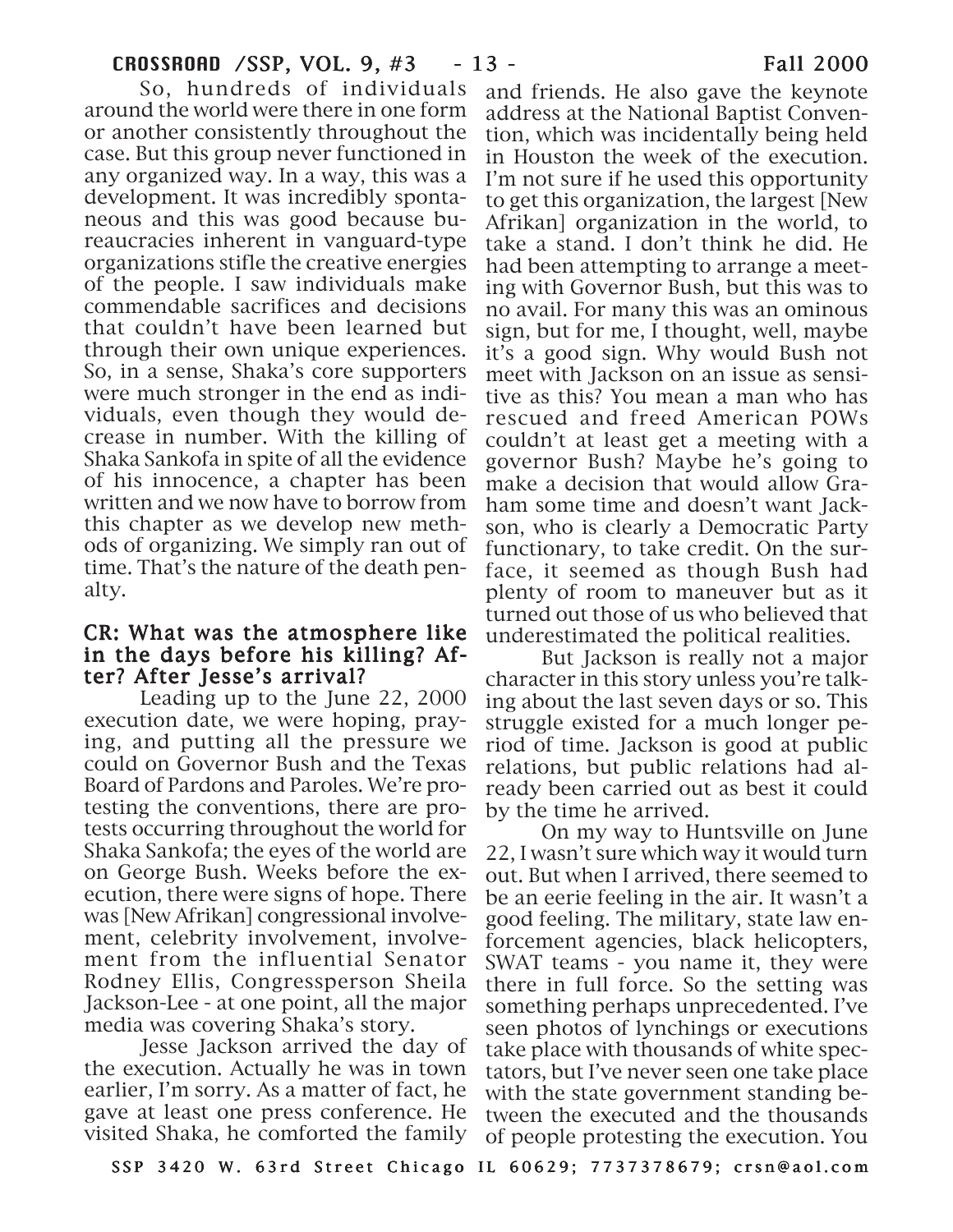So, hundreds of individuals around the world were there in one form or another consistently throughout the case. But this group never functioned in any organized way. In a way, this was a development. It was incredibly spontaneous and this was good because bureaucracies inherent in vanguard-type organizations stifle the creative energies of the people. I saw individuals make commendable sacrifices and decisions that couldn't have been learned but through their own unique experiences. So, in a sense, Shaka's core supporters were much stronger in the end as individuals, even though they would decrease in number. With the killing of Shaka Sankofa in spite of all the evidence of his innocence, a chapter has been written and we now have to borrow from this chapter as we develop new methods of organizing. We simply ran out of time. That's the nature of the death penalty.

#### CR: What was the atmosphere like in the days before his killing? After? After Jesse's arrival?

Leading up to the June 22, 2000 execution date, we were hoping, praying, and putting all the pressure we could on Governor Bush and the Texas Board of Pardons and Paroles. We're protesting the conventions, there are protests occurring throughout the world for Shaka Sankofa; the eyes of the world are on George Bush. Weeks before the execution, there were signs of hope. There was [New Afrikan] congressional involvement, celebrity involvement, involvement from the influential Senator Rodney Ellis, Congressperson Sheila Jackson-Lee - at one point, all the major media was covering Shaka's story.

Jesse Jackson arrived the day of the execution. Actually he was in town earlier, I'm sorry. As a matter of fact, he gave at least one press conference. He visited Shaka, he comforted the family

and friends. He also gave the keynote address at the National Baptist Convention, which was incidentally being held in Houston the week of the execution. I'm not sure if he used this opportunity to get this organization, the largest [New Afrikan] organization in the world, to take a stand. I don't think he did. He had been attempting to arrange a meeting with Governor Bush, but this was to no avail. For many this was an ominous sign, but for me, I thought, well, maybe it's a good sign. Why would Bush not meet with Jackson on an issue as sensitive as this? You mean a man who has rescued and freed American POWs couldn't at least get a meeting with a governor Bush? Maybe he's going to make a decision that would allow Graham some time and doesn't want Jackson, who is clearly a Democratic Party functionary, to take credit. On the surface, it seemed as though Bush had plenty of room to maneuver but as it turned out those of us who believed that underestimated the political realities.

But Jackson is really not a major character in this story unless you're talking about the last seven days or so. This struggle existed for a much longer period of time. Jackson is good at public relations, but public relations had already been carried out as best it could by the time he arrived.

On my way to Huntsville on June 22, I wasn't sure which way it would turn out. But when I arrived, there seemed to be an eerie feeling in the air. It wasn't a good feeling. The military, state law enforcement agencies, black helicopters, SWAT teams - you name it, they were there in full force. So the setting was something perhaps unprecedented. I've seen photos of lynchings or executions take place with thousands of white spectators, but I've never seen one take place with the state government standing between the executed and the thousands of people protesting the execution. You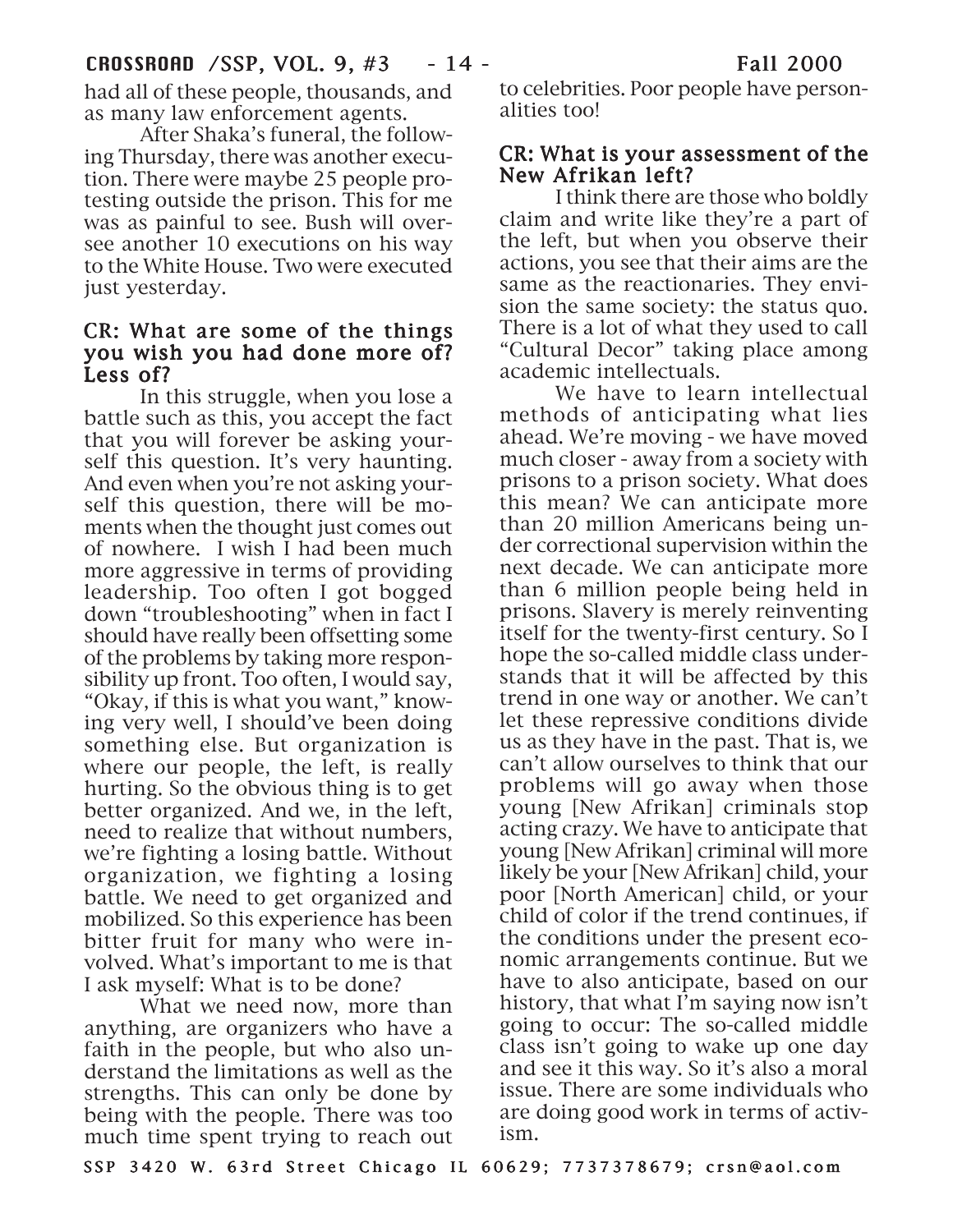had all of these people, thousands, and as many law enforcement agents.

After Shaka's funeral, the following Thursday, there was another execution. There were maybe 25 people protesting outside the prison. This for me was as painful to see. Bush will oversee another 10 executions on his way to the White House. Two were executed just yesterday.

#### CR: What are some of the things you wish you had done more of? Less of?

In this struggle, when you lose a battle such as this, you accept the fact that you will forever be asking yourself this question. It's very haunting. And even when you're not asking yourself this question, there will be moments when the thought just comes out of nowhere. I wish I had been much more aggressive in terms of providing leadership. Too often I got bogged down "troubleshooting" when in fact I should have really been offsetting some of the problems by taking more responsibility up front. Too often, I would say, "Okay, if this is what you want," knowing very well, I should've been doing something else. But organization is where our people, the left, is really hurting. So the obvious thing is to get better organized. And we, in the left, need to realize that without numbers, we're fighting a losing battle. Without organization, we fighting a losing battle. We need to get organized and mobilized. So this experience has been bitter fruit for many who were involved. What's important to me is that I ask myself: What is to be done?

What we need now, more than anything, are organizers who have a faith in the people, but who also understand the limitations as well as the strengths. This can only be done by being with the people. There was too much time spent trying to reach out

to celebrities. Poor people have personalities too!

#### CR: What is your assessment of the New Afrikan left?

I think there are those who boldly claim and write like they're a part of the left, but when you observe their actions, you see that their aims are the same as the reactionaries. They envision the same society: the status quo. There is a lot of what they used to call "Cultural Decor" taking place among academic intellectuals.

We have to learn intellectual methods of anticipating what lies ahead. We're moving - we have moved much closer - away from a society with prisons to a prison society. What does this mean? We can anticipate more than 20 million Americans being under correctional supervision within the next decade. We can anticipate more than 6 million people being held in prisons. Slavery is merely reinventing itself for the twenty-first century. So I hope the so-called middle class understands that it will be affected by this trend in one way or another. We can't let these repressive conditions divide us as they have in the past. That is, we can't allow ourselves to think that our problems will go away when those young [New Afrikan] criminals stop acting crazy. We have to anticipate that young [New Afrikan] criminal will more likely be your [New Afrikan] child, your poor [North American] child, or your child of color if the trend continues, if the conditions under the present economic arrangements continue. But we have to also anticipate, based on our history, that what I'm saying now isn't going to occur: The so-called middle class isn't going to wake up one day and see it this way. So it's also a moral issue. There are some individuals who are doing good work in terms of activism.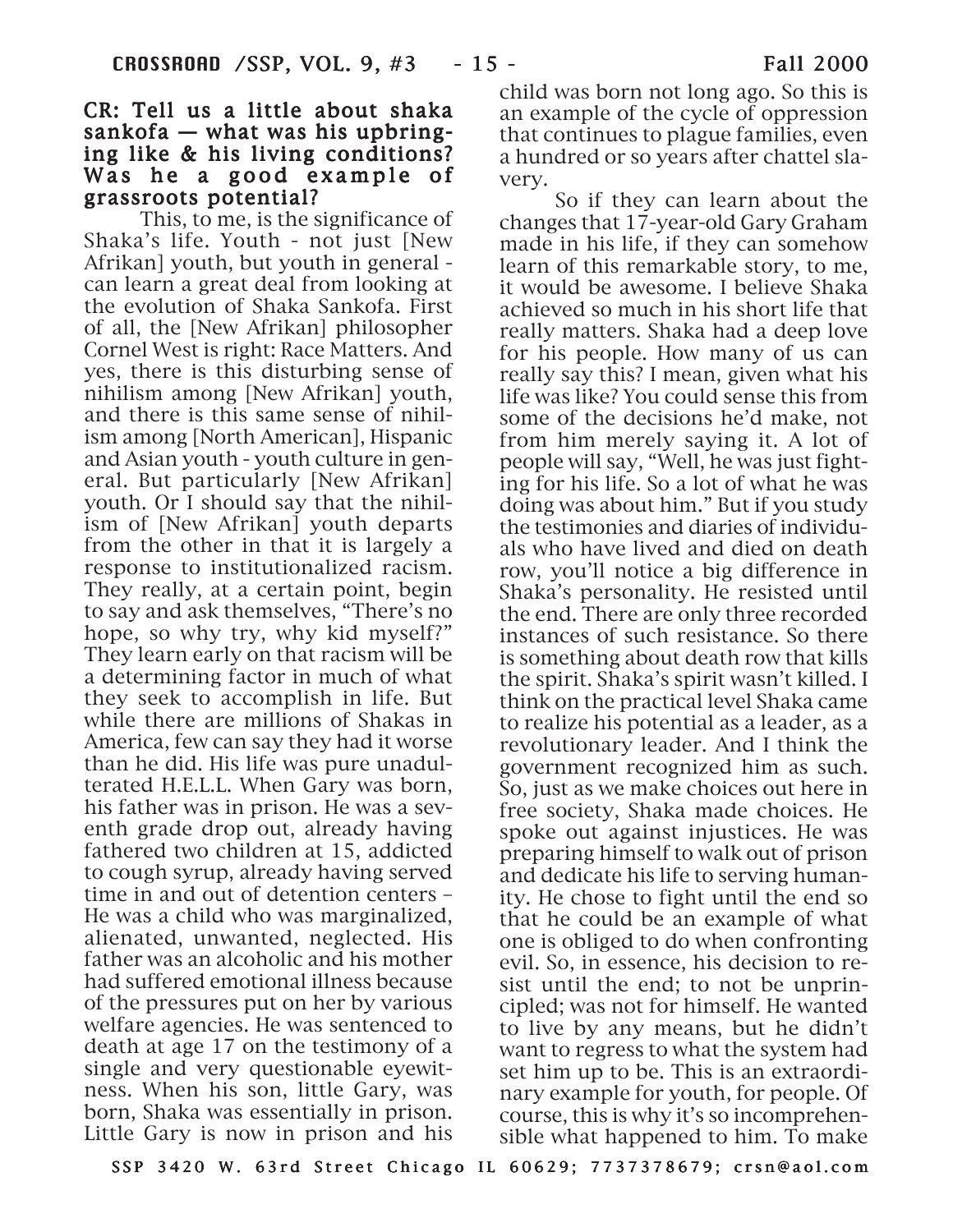#### CR: Tell us a little about shaka sankofa — what was his upbringing like & his living conditions? Was he a good example of grassroots potential?

This, to me, is the significance of Shaka's life. Youth - not just [New Afrikan] youth, but youth in general can learn a great deal from looking at the evolution of Shaka Sankofa. First of all, the [New Afrikan] philosopher Cornel West is right: Race Matters. And yes, there is this disturbing sense of nihilism among [New Afrikan] youth, and there is this same sense of nihilism among [North American], Hispanic and Asian youth - youth culture in general. But particularly [New Afrikan] youth. Or I should say that the nihilism of [New Afrikan] youth departs from the other in that it is largely a response to institutionalized racism. They really, at a certain point, begin to say and ask themselves, "There's no hope, so why try, why kid myself?" They learn early on that racism will be a determining factor in much of what they seek to accomplish in life. But while there are millions of Shakas in America, few can say they had it worse than he did. His life was pure unadulterated H.E.L.L. When Gary was born, his father was in prison. He was a seventh grade drop out, already having fathered two children at 15, addicted to cough syrup, already having served time in and out of detention centers – He was a child who was marginalized, alienated, unwanted, neglected. His father was an alcoholic and his mother had suffered emotional illness because of the pressures put on her by various welfare agencies. He was sentenced to death at age 17 on the testimony of a single and very questionable eyewitness. When his son, little Gary, was born, Shaka was essentially in prison. Little Gary is now in prison and his

child was born not long ago. So this is an example of the cycle of oppression that continues to plague families, even a hundred or so years after chattel slavery.

So if they can learn about the changes that 17-year-old Gary Graham made in his life, if they can somehow learn of this remarkable story, to me, it would be awesome. I believe Shaka achieved so much in his short life that really matters. Shaka had a deep love for his people. How many of us can really say this? I mean, given what his life was like? You could sense this from some of the decisions he'd make, not from him merely saying it. A lot of people will say, "Well, he was just fighting for his life. So a lot of what he was doing was about him." But if you study the testimonies and diaries of individuals who have lived and died on death row, you'll notice a big difference in Shaka's personality. He resisted until the end. There are only three recorded instances of such resistance. So there is something about death row that kills the spirit. Shaka's spirit wasn't killed. I think on the practical level Shaka came to realize his potential as a leader, as a revolutionary leader. And I think the government recognized him as such. So, just as we make choices out here in free society, Shaka made choices. He spoke out against injustices. He was preparing himself to walk out of prison and dedicate his life to serving humanity. He chose to fight until the end so that he could be an example of what one is obliged to do when confronting evil. So, in essence, his decision to resist until the end; to not be unprincipled; was not for himself. He wanted to live by any means, but he didn't want to regress to what the system had set him up to be. This is an extraordinary example for youth, for people. Of course, this is why it's so incomprehensible what happened to him. To make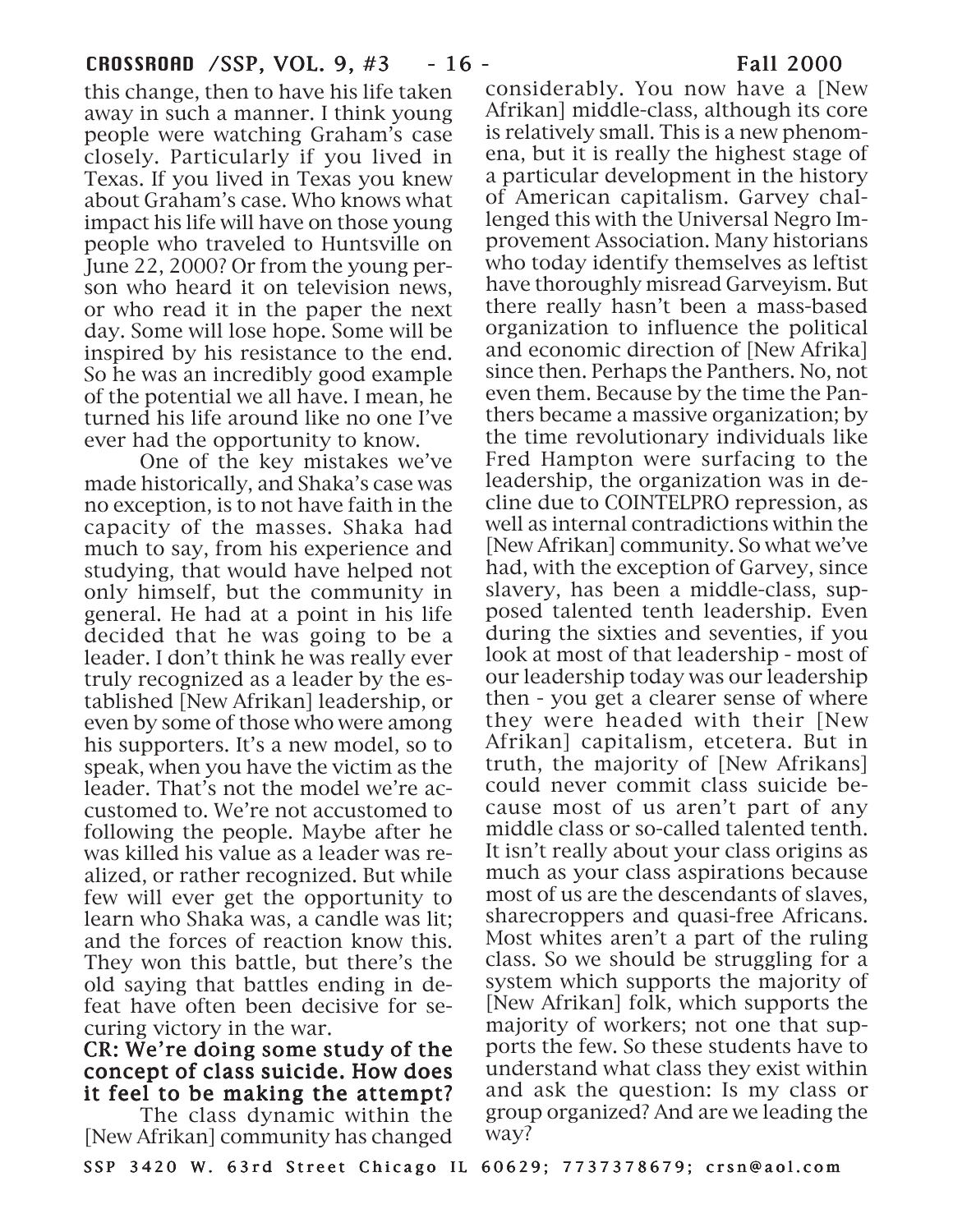#### CROSSROAD /SSP, VOL. 9, #3 - 16 - Fall 2000

this change, then to have his life taken away in such a manner. I think young people were watching Graham's case closely. Particularly if you lived in Texas. If you lived in Texas you knew about Graham's case. Who knows what impact his life will have on those young people who traveled to Huntsville on June 22, 2000? Or from the young person who heard it on television news, or who read it in the paper the next day. Some will lose hope. Some will be inspired by his resistance to the end. So he was an incredibly good example of the potential we all have. I mean, he turned his life around like no one I've ever had the opportunity to know.

One of the key mistakes we've made historically, and Shaka's case was no exception, is to not have faith in the capacity of the masses. Shaka had much to say, from his experience and studying, that would have helped not only himself, but the community in general. He had at a point in his life decided that he was going to be a leader. I don't think he was really ever truly recognized as a leader by the established [New Afrikan] leadership, or even by some of those who were among his supporters. It's a new model, so to speak, when you have the victim as the leader. That's not the model we're accustomed to. We're not accustomed to following the people. Maybe after he was killed his value as a leader was realized, or rather recognized. But while few will ever get the opportunity to learn who Shaka was, a candle was lit; and the forces of reaction know this. They won this battle, but there's the old saying that battles ending in defeat have often been decisive for securing victory in the war.

#### CR: We're doing some study of the concept of class suicide. How does it feel to be making the attempt?

The class dynamic within the [New Afrikan] community has changed

considerably. You now have a [New Afrikan] middle-class, although its core is relatively small. This is a new phenomena, but it is really the highest stage of a particular development in the history of American capitalism. Garvey challenged this with the Universal Negro Improvement Association. Many historians who today identify themselves as leftist have thoroughly misread Garveyism. But there really hasn't been a mass-based organization to influence the political and economic direction of [New Afrika] since then. Perhaps the Panthers. No, not even them. Because by the time the Panthers became a massive organization; by the time revolutionary individuals like Fred Hampton were surfacing to the leadership, the organization was in decline due to COINTELPRO repression, as well as internal contradictions within the [New Afrikan] community. So what we've had, with the exception of Garvey, since slavery, has been a middle-class, supposed talented tenth leadership. Even during the sixties and seventies, if you look at most of that leadership - most of our leadership today was our leadership then - you get a clearer sense of where they were headed with their [New Afrikan] capitalism, etcetera. But in truth, the majority of [New Afrikans] could never commit class suicide be-

cause most of us aren't part of any middle class or so-called talented tenth. It isn't really about your class origins as much as your class aspirations because most of us are the descendants of slaves, sharecroppers and quasi-free Africans. Most whites aren't a part of the ruling class. So we should be struggling for a system which supports the majority of [New Afrikan] folk, which supports the majority of workers; not one that supports the few. So these students have to understand what class they exist within and ask the question: Is my class or group organized? And are we leading the way?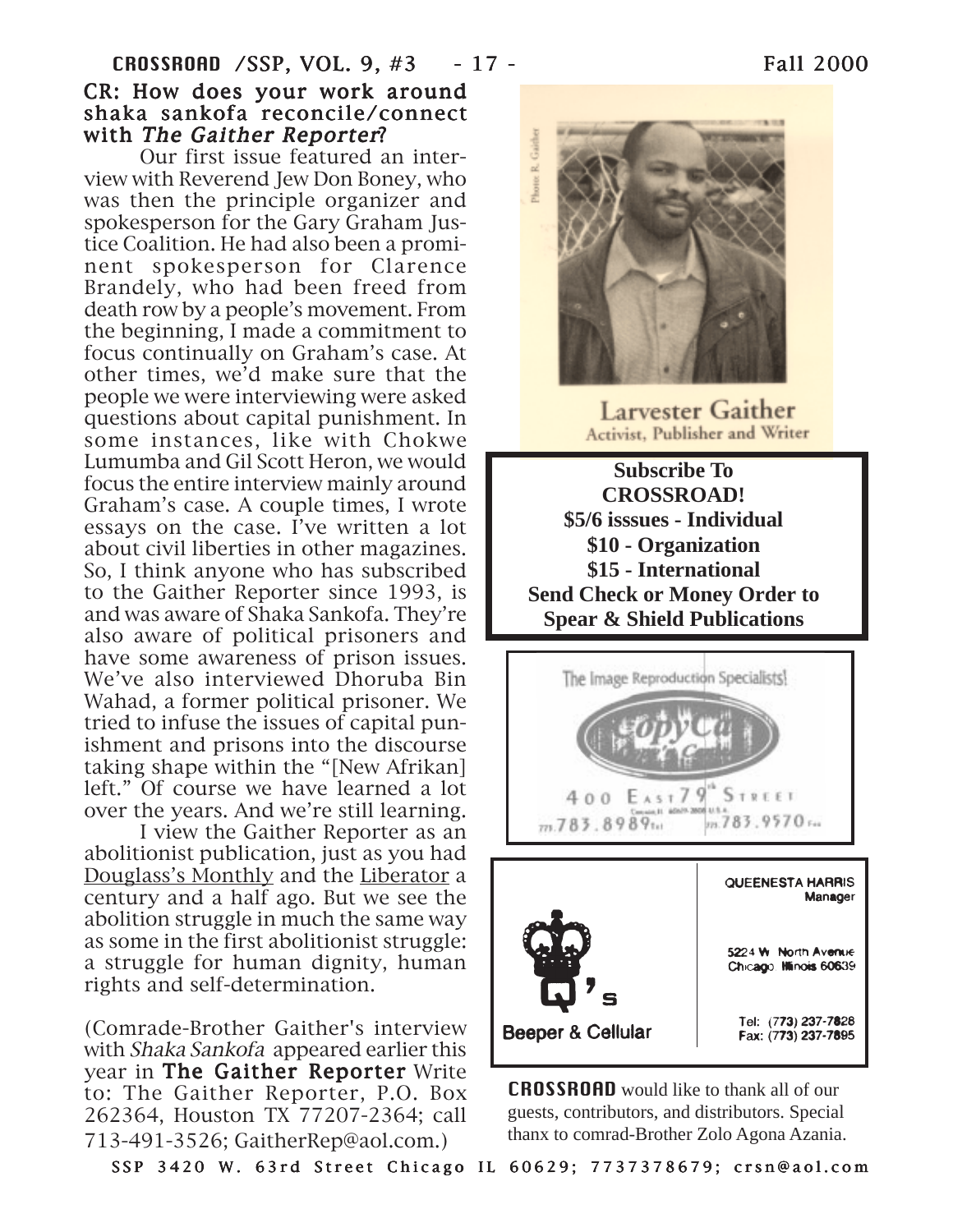#### CROSSROAD /SSP, VOL. 9, #3 - 17 - Fall 2000 CR: How does your work around shaka sankofa reconcile/connect with The Gaither Reporter?

Our first issue featured an interview with Reverend Jew Don Boney, who was then the principle organizer and spokesperson for the Gary Graham Justice Coalition. He had also been a prominent spokesperson for Clarence Brandely, who had been freed from death row by a people's movement. From the beginning, I made a commitment to focus continually on Graham's case. At other times, we'd make sure that the people we were interviewing were asked questions about capital punishment. In some instances, like with Chokwe Lumumba and Gil Scott Heron, we would focus the entire interview mainly around Graham's case. A couple times, I wrote essays on the case. I've written a lot about civil liberties in other magazines. So, I think anyone who has subscribed to the Gaither Reporter since 1993, is and was aware of Shaka Sankofa. They're also aware of political prisoners and have some awareness of prison issues. We've also interviewed Dhoruba Bin Wahad, a former political prisoner. We tried to infuse the issues of capital punishment and prisons into the discourse taking shape within the "[New Afrikan] left." Of course we have learned a lot over the years. And we're still learning.

I view the Gaither Reporter as an abolitionist publication, just as you had Douglass's Monthly and the Liberator a century and a half ago. But we see the abolition struggle in much the same way as some in the first abolitionist struggle: a struggle for human dignity, human rights and self-determination.

(Comrade-Brother Gaither's interview with Shaka Sankofa appeared earlier this year in The Gaither Reporter Write to: The Gaither Reporter, P.O. Box 262364, Houston TX 77207-2364; call 713-491-3526; GaitherRep@aol.com.)



Larvester Gaither Activist, Publisher and Writer

**Subscribe To CROSSROAD! \$5/6 isssues - Individual \$10 - Organization \$15 - International Send Check or Money Order to Spear & Shield Publications**



**CROSSROAD** would like to thank all of our guests, contributors, and distributors. Special thanx to comrad-Brother Zolo Agona Azania.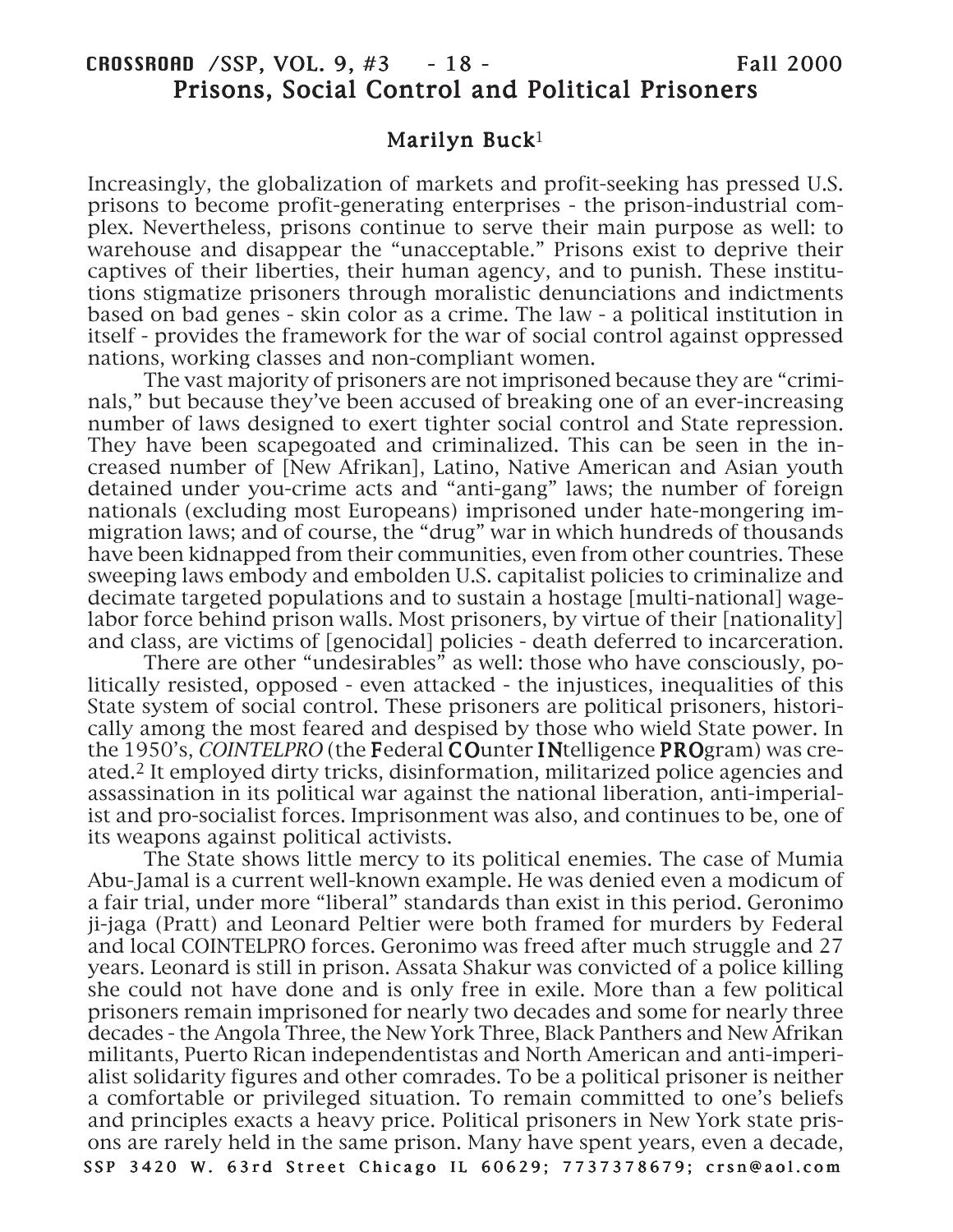#### CROSSROAD /SSP, VOL. 9, #3 - 18 - Fall 2000 Prisons, Social Control and Political Prisoners

#### Marilyn Buck<sup>1</sup>

Increasingly, the globalization of markets and profit-seeking has pressed U.S. prisons to become profit-generating enterprises - the prison-industrial complex. Nevertheless, prisons continue to serve their main purpose as well: to warehouse and disappear the "unacceptable." Prisons exist to deprive their captives of their liberties, their human agency, and to punish. These institutions stigmatize prisoners through moralistic denunciations and indictments based on bad genes - skin color as a crime. The law - a political institution in itself - provides the framework for the war of social control against oppressed nations, working classes and non-compliant women.

The vast majority of prisoners are not imprisoned because they are "criminals," but because they've been accused of breaking one of an ever-increasing number of laws designed to exert tighter social control and State repression. They have been scapegoated and criminalized. This can be seen in the increased number of [New Afrikan], Latino, Native American and Asian youth detained under you-crime acts and "anti-gang" laws; the number of foreign nationals (excluding most Europeans) imprisoned under hate-mongering immigration laws; and of course, the "drug" war in which hundreds of thousands have been kidnapped from their communities, even from other countries. These sweeping laws embody and embolden U.S. capitalist policies to criminalize and decimate targeted populations and to sustain a hostage [multi-national] wagelabor force behind prison walls. Most prisoners, by virtue of their [nationality] and class, are victims of [genocidal] policies - death deferred to incarceration.

There are other "undesirables" as well: those who have consciously, politically resisted, opposed - even attacked - the injustices, inequalities of this State system of social control. These prisoners are political prisoners, historically among the most feared and despised by those who wield State power. In the 1950's, *COINTELPRO* (the Federal **CO**unter I Ntelligence **PRO**gram) was created.2 It employed dirty tricks, disinformation, militarized police agencies and assassination in its political war against the national liberation, anti-imperialist and pro-socialist forces. Imprisonment was also, and continues to be, one of its weapons against political activists.

SSP 3420 W. 63rd Street Chicago IL 60629; 7737378679; crsn@aol.com The State shows little mercy to its political enemies. The case of Mumia Abu-Jamal is a current well-known example. He was denied even a modicum of a fair trial, under more "liberal" standards than exist in this period. Geronimo ji-jaga (Pratt) and Leonard Peltier were both framed for murders by Federal and local COINTELPRO forces. Geronimo was freed after much struggle and 27 years. Leonard is still in prison. Assata Shakur was convicted of a police killing she could not have done and is only free in exile. More than a few political prisoners remain imprisoned for nearly two decades and some for nearly three decades - the Angola Three, the New York Three, Black Panthers and New Afrikan militants, Puerto Rican independentistas and North American and anti-imperialist solidarity figures and other comrades. To be a political prisoner is neither a comfortable or privileged situation. To remain committed to one's beliefs and principles exacts a heavy price. Political prisoners in New York state prisons are rarely held in the same prison. Many have spent years, even a decade,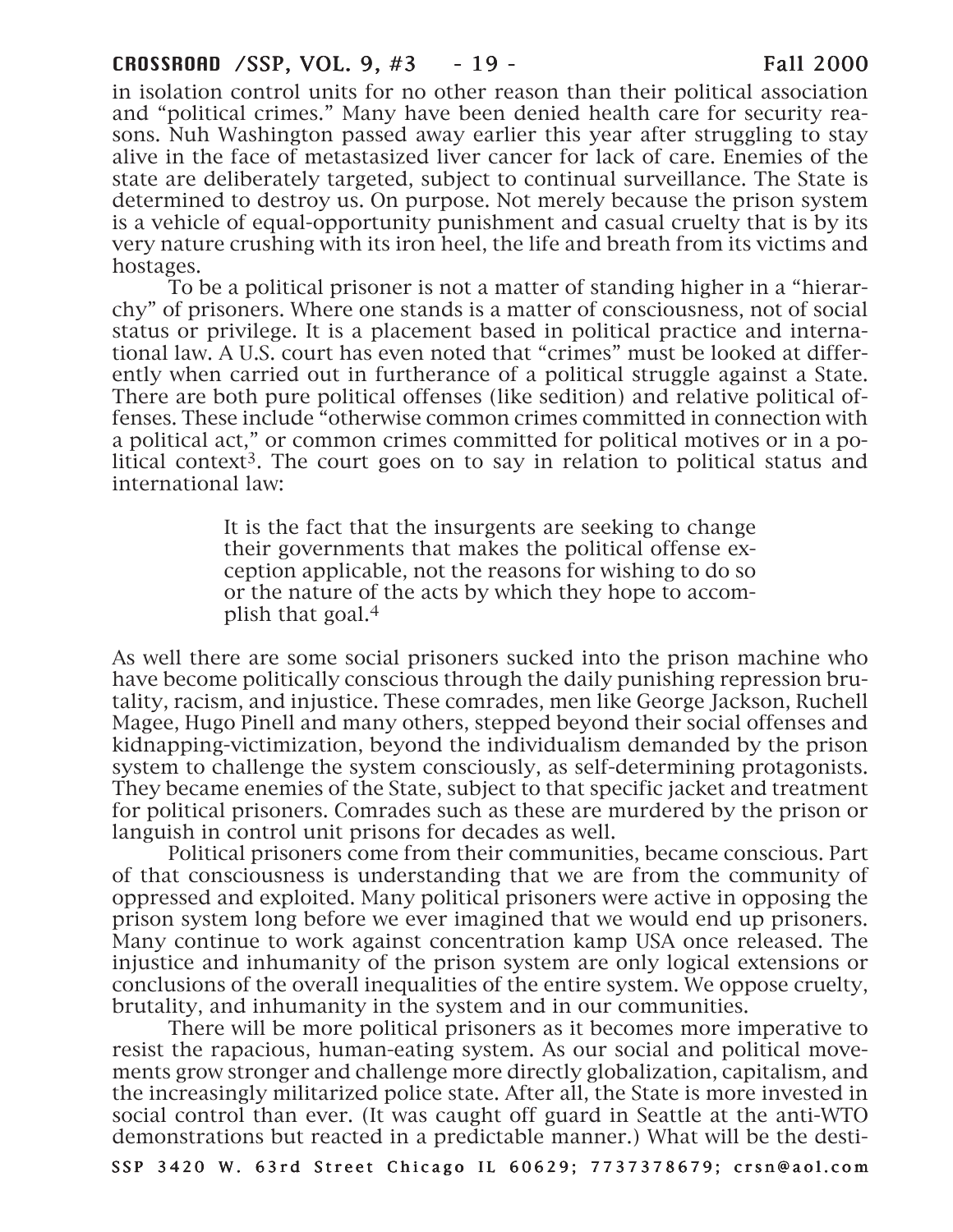#### CROSSROAD /SSP, VOL. 9, #3 - 19 - Fall 2000

in isolation control units for no other reason than their political association and "political crimes." Many have been denied health care for security reasons. Nuh Washington passed away earlier this year after struggling to stay alive in the face of metastasized liver cancer for lack of care. Enemies of the state are deliberately targeted, subject to continual surveillance. The State is determined to destroy us. On purpose. Not merely because the prison system is a vehicle of equal-opportunity punishment and casual cruelty that is by its very nature crushing with its iron heel, the life and breath from its victims and hostages.

To be a political prisoner is not a matter of standing higher in a "hierarchy" of prisoners. Where one stands is a matter of consciousness, not of social status or privilege. It is a placement based in political practice and international law. A U.S. court has even noted that "crimes" must be looked at differently when carried out in furtherance of a political struggle against a State. There are both pure political offenses (like sedition) and relative political offenses. These include "otherwise common crimes committed in connection with a political act," or common crimes committed for political motives or in a political context<sup>3</sup>. The court goes on to say in relation to political status and international law:

> It is the fact that the insurgents are seeking to change their governments that makes the political offense exception applicable, not the reasons for wishing to do so or the nature of the acts by which they hope to accomplish that goal.4

As well there are some social prisoners sucked into the prison machine who have become politically conscious through the daily punishing repression brutality, racism, and injustice. These comrades, men like George Jackson, Ruchell Magee, Hugo Pinell and many others, stepped beyond their social offenses and kidnapping-victimization, beyond the individualism demanded by the prison system to challenge the system consciously, as self-determining protagonists. They became enemies of the State, subject to that specific jacket and treatment for political prisoners. Comrades such as these are murdered by the prison or languish in control unit prisons for decades as well.

Political prisoners come from their communities, became conscious. Part of that consciousness is understanding that we are from the community of oppressed and exploited. Many political prisoners were active in opposing the prison system long before we ever imagined that we would end up prisoners. Many continue to work against concentration kamp USA once released. The injustice and inhumanity of the prison system are only logical extensions or conclusions of the overall inequalities of the entire system. We oppose cruelty, brutality, and inhumanity in the system and in our communities.

There will be more political prisoners as it becomes more imperative to resist the rapacious, human-eating system. As our social and political movements grow stronger and challenge more directly globalization, capitalism, and the increasingly militarized police state. After all, the State is more invested in social control than ever. (It was caught off guard in Seattle at the anti-WTO demonstrations but reacted in a predictable manner.) What will be the desti-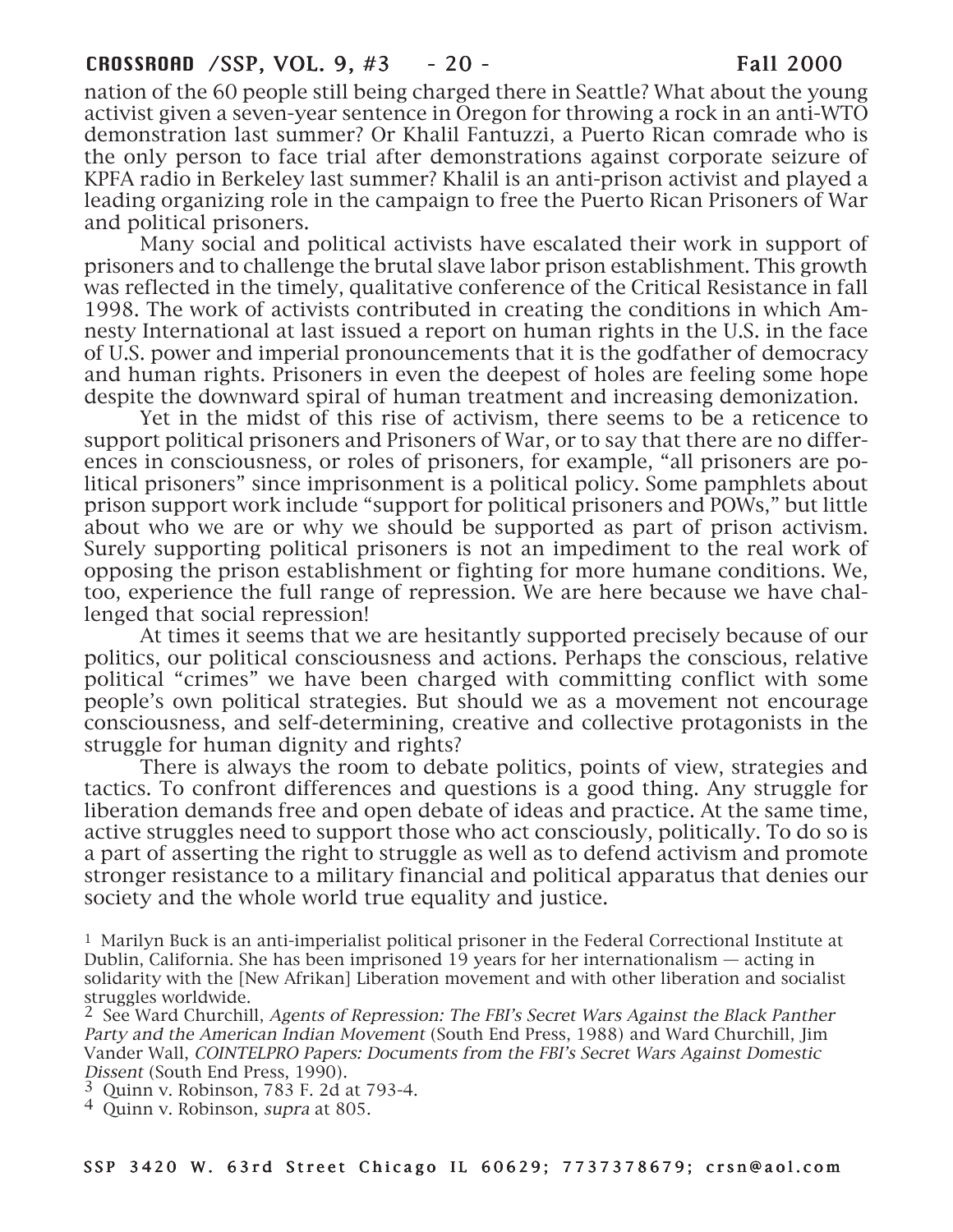#### CROSSROAD /SSP, VOL. 9, #3 - 20 - Fall 2000

nation of the 60 people still being charged there in Seattle? What about the young activist given a seven-year sentence in Oregon for throwing a rock in an anti-WTO demonstration last summer? Or Khalil Fantuzzi, a Puerto Rican comrade who is the only person to face trial after demonstrations against corporate seizure of KPFA radio in Berkeley last summer? Khalil is an anti-prison activist and played a leading organizing role in the campaign to free the Puerto Rican Prisoners of War and political prisoners.

Many social and political activists have escalated their work in support of prisoners and to challenge the brutal slave labor prison establishment. This growth was reflected in the timely, qualitative conference of the Critical Resistance in fall 1998. The work of activists contributed in creating the conditions in which Amnesty International at last issued a report on human rights in the U.S. in the face of U.S. power and imperial pronouncements that it is the godfather of democracy and human rights. Prisoners in even the deepest of holes are feeling some hope despite the downward spiral of human treatment and increasing demonization.

Yet in the midst of this rise of activism, there seems to be a reticence to support political prisoners and Prisoners of War, or to say that there are no differences in consciousness, or roles of prisoners, for example, "all prisoners are political prisoners" since imprisonment is a political policy. Some pamphlets about prison support work include "support for political prisoners and POWs," but little about who we are or why we should be supported as part of prison activism. Surely supporting political prisoners is not an impediment to the real work of opposing the prison establishment or fighting for more humane conditions. We, too, experience the full range of repression. We are here because we have challenged that social repression!

At times it seems that we are hesitantly supported precisely because of our politics, our political consciousness and actions. Perhaps the conscious, relative political "crimes" we have been charged with committing conflict with some people's own political strategies. But should we as a movement not encourage consciousness, and self-determining, creative and collective protagonists in the struggle for human dignity and rights?

There is always the room to debate politics, points of view, strategies and tactics. To confront differences and questions is a good thing. Any struggle for liberation demands free and open debate of ideas and practice. At the same time, active struggles need to support those who act consciously, politically. To do so is a part of asserting the right to struggle as well as to defend activism and promote stronger resistance to a military financial and political apparatus that denies our society and the whole world true equality and justice.

1 Marilyn Buck is an anti-imperialist political prisoner in the Federal Correctional Institute at Dublin, California. She has been imprisoned 19 years for her internationalism — acting in solidarity with the [New Afrikan] Liberation movement and with other liberation and socialist struggles worldwide.

<sup>2</sup> See Ward Churchill, Agents of Repression: The FBI's Secret Wars Against the Black Panther Party and the American Indian Movement (South End Press, 1988) and Ward Churchill, Jim Vander Wall, COINTELPRO Papers: Documents from the FBI's Secret Wars Against Domestic Dissent (South End Press, 1990).

3 Quinn v. Robinson, 783 F. 2d at 793-4.

4 Quinn v. Robinson, supra at 805.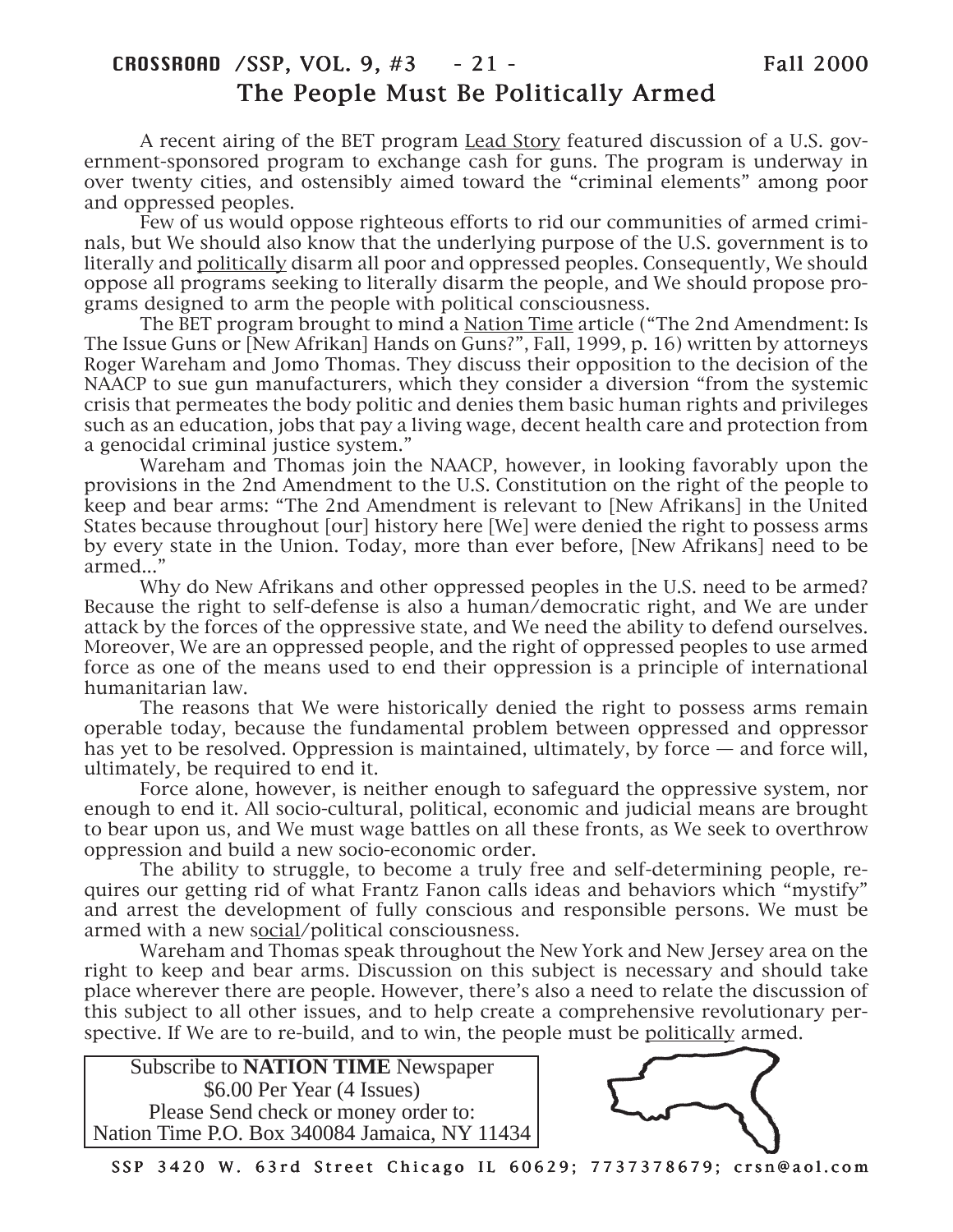### CROSSROAD /SSP, VOL. 9, #3 - 21 - Fall 2000 The People Must Be Politically Armed

A recent airing of the BET program Lead Story featured discussion of a U.S. government-sponsored program to exchange cash for guns. The program is underway in over twenty cities, and ostensibly aimed toward the "criminal elements" among poor and oppressed peoples.

Few of us would oppose righteous efforts to rid our communities of armed criminals, but We should also know that the underlying purpose of the U.S. government is to literally and politically disarm all poor and oppressed peoples. Consequently, We should oppose all programs seeking to literally disarm the people, and We should propose programs designed to arm the people with political consciousness.

The BET program brought to mind a Nation Time article ("The 2nd Amendment: Is The Issue Guns or [New Afrikan] Hands on Guns?", Fall, 1999, p. 16) written by attorneys Roger Wareham and Jomo Thomas. They discuss their opposition to the decision of the NAACP to sue gun manufacturers, which they consider a diversion "from the systemic crisis that permeates the body politic and denies them basic human rights and privileges such as an education, jobs that pay a living wage, decent health care and protection from a genocidal criminal justice system."

Wareham and Thomas join the NAACP, however, in looking favorably upon the provisions in the 2nd Amendment to the U.S. Constitution on the right of the people to keep and bear arms: "The 2nd Amendment is relevant to [New Afrikans] in the United States because throughout [our] history here [We] were denied the right to possess arms by every state in the Union. Today, more than ever before, [New Afrikans] need to be armed...'

Why do New Afrikans and other oppressed peoples in the U.S. need to be armed? Because the right to self-defense is also a human/democratic right, and We are under attack by the forces of the oppressive state, and We need the ability to defend ourselves. Moreover, We are an oppressed people, and the right of oppressed peoples to use armed force as one of the means used to end their oppression is a principle of international humanitarian law.

The reasons that We were historically denied the right to possess arms remain operable today, because the fundamental problem between oppressed and oppressor has yet to be resolved. Oppression is maintained, ultimately, by force — and force will, ultimately, be required to end it.

Force alone, however, is neither enough to safeguard the oppressive system, nor enough to end it. All socio-cultural, political, economic and judicial means are brought to bear upon us, and We must wage battles on all these fronts, as We seek to overthrow oppression and build a new socio-economic order.

The ability to struggle, to become a truly free and self-determining people, requires our getting rid of what Frantz Fanon calls ideas and behaviors which "mystify" and arrest the development of fully conscious and responsible persons. We must be armed with a new social/political consciousness.

Wareham and Thomas speak throughout the New York and New Jersey area on the right to keep and bear arms. Discussion on this subject is necessary and should take place wherever there are people. However, there's also a need to relate the discussion of this subject to all other issues, and to help create a comprehensive revolutionary perspective. If We are to re-build, and to win, the people must be politically armed.

Subscribe to **NATION TIME** Newspaper \$6.00 Per Year (4 Issues) Please Send check or money order to: Nation Time P.O. Box 340084 Jamaica, NY 11434

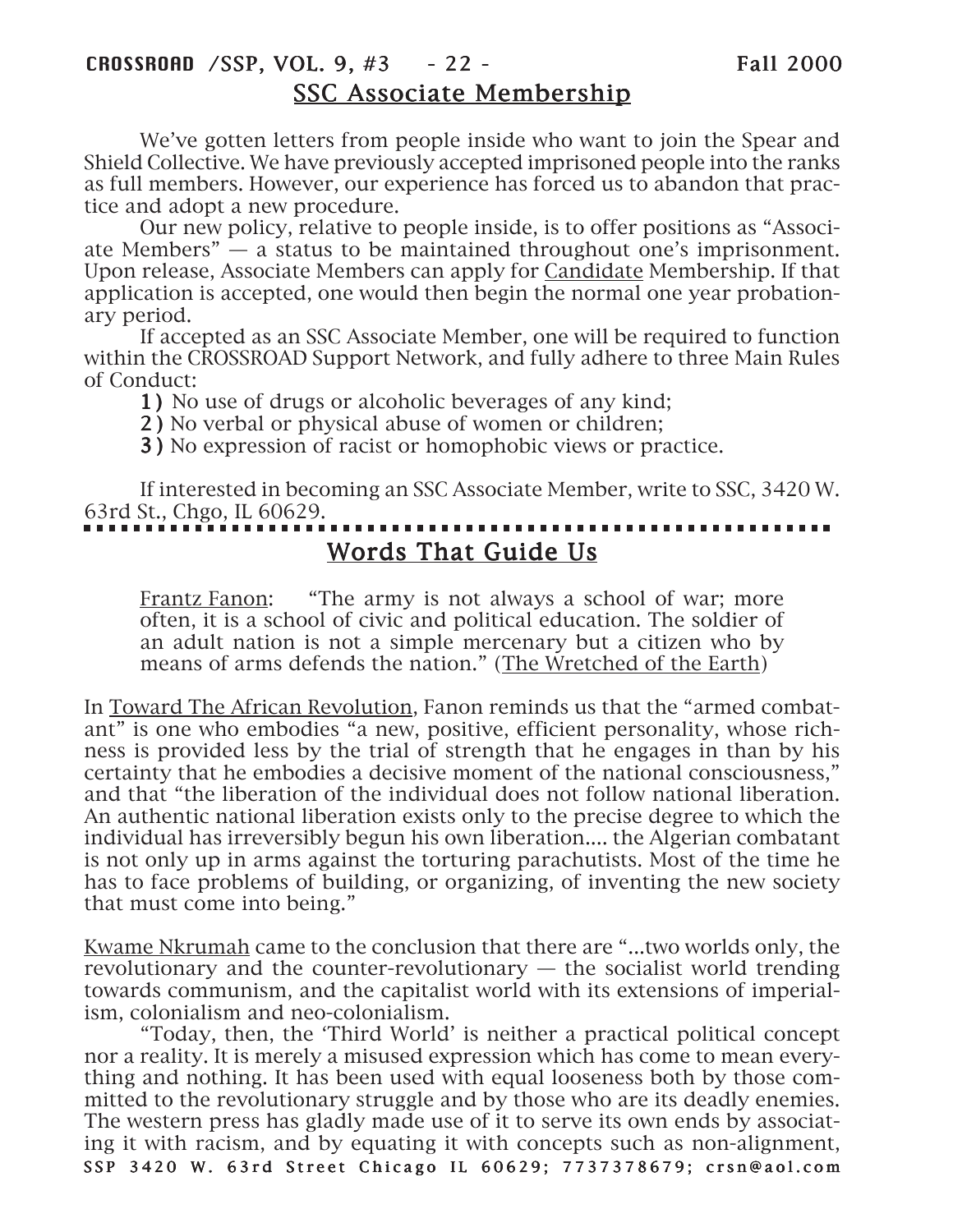### CROSSROAD /SSP, VOL. 9, #3 - 22 - Fall 2000 SSC Associate Membership

We've gotten letters from people inside who want to join the Spear and Shield Collective. We have previously accepted imprisoned people into the ranks as full members. However, our experience has forced us to abandon that practice and adopt a new procedure.

Our new policy, relative to people inside, is to offer positions as "Associate Members" — a status to be maintained throughout one's imprisonment. Upon release, Associate Members can apply for Candidate Membership. If that application is accepted, one would then begin the normal one year probationary period.

If accepted as an SSC Associate Member, one will be required to function within the CROSSROAD Support Network, and fully adhere to three Main Rules of Conduct:

1) No use of drugs or alcoholic beverages of any kind; 1)

2) No verbal or physical abuse of women or children;

3) No expression of racist or homophobic views or practice.

If interested in becoming an SSC Associate Member, write to SSC, 3420 W. 63rd St., Chgo, IL 60629.

#### Words That Guide Us

Frantz Fanon: "The army is not always a school of war; more often, it is a school of civic and political education. The soldier of an adult nation is not a simple mercenary but a citizen who by means of arms defends the nation." (The Wretched of the Earth)

In Toward The African Revolution, Fanon reminds us that the "armed combatant" is one who embodies "a new, positive, efficient personality, whose richness is provided less by the trial of strength that he engages in than by his certainty that he embodies a decisive moment of the national consciousness," and that "the liberation of the individual does not follow national liberation. An authentic national liberation exists only to the precise degree to which the individual has irreversibly begun his own liberation.... the Algerian combatant is not only up in arms against the torturing parachutists. Most of the time he has to face problems of building, or organizing, of inventing the new society that must come into being."

Kwame Nkrumah came to the conclusion that there are "...two worlds only, the revolutionary and the counter-revolutionary — the socialist world trending towards communism, and the capitalist world with its extensions of imperialism, colonialism and neo-colonialism.

SSP 3420 W. 63rd Street Chicago IL 60629; 7737378679; crsn@aol.com "Today, then, the 'Third World' is neither a practical political concept nor a reality. It is merely a misused expression which has come to mean everything and nothing. It has been used with equal looseness both by those committed to the revolutionary struggle and by those who are its deadly enemies. The western press has gladly made use of it to serve its own ends by associating it with racism, and by equating it with concepts such as non-alignment,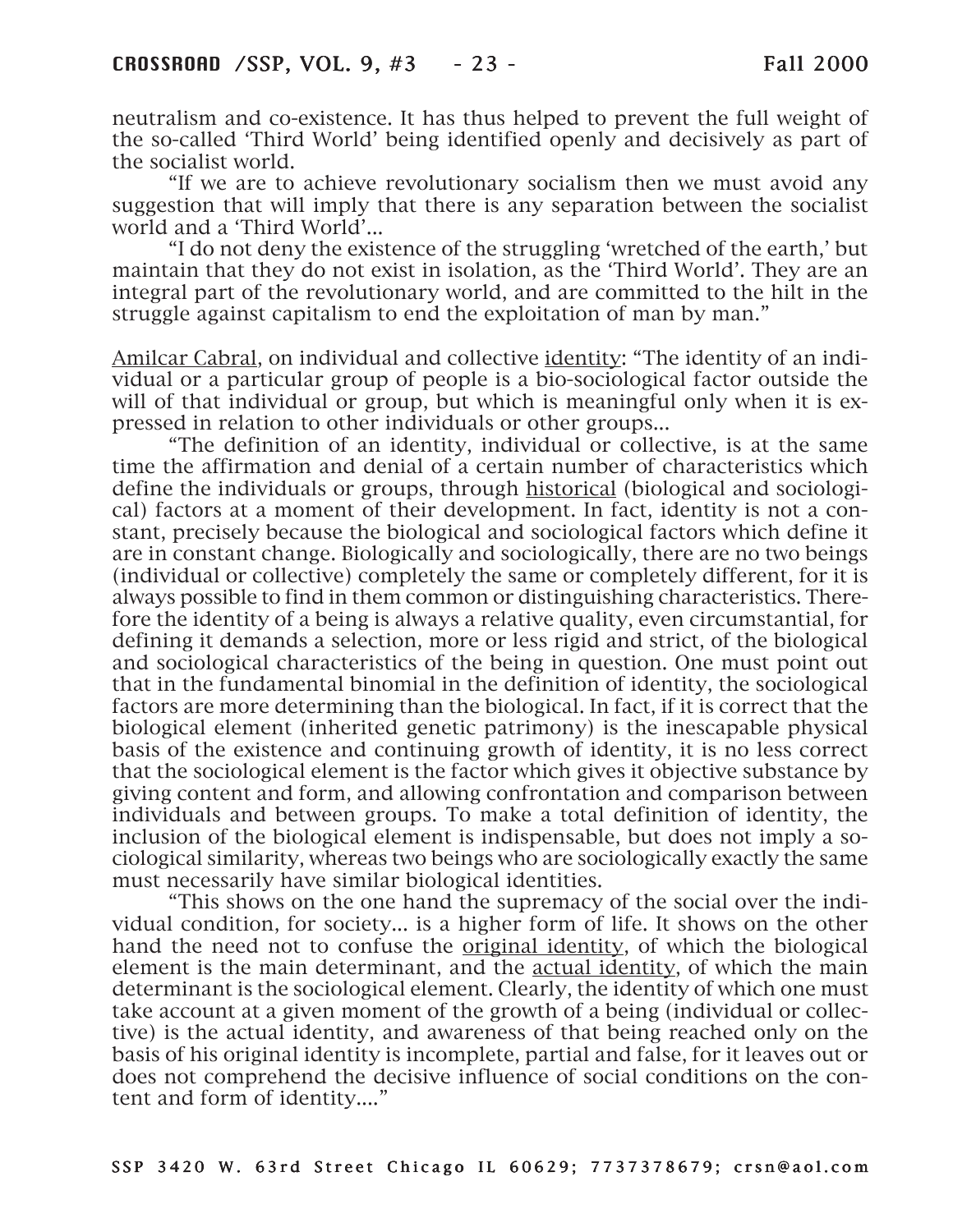neutralism and co-existence. It has thus helped to prevent the full weight of the so-called 'Third World' being identified openly and decisively as part of the socialist world.

"If we are to achieve revolutionary socialism then we must avoid any suggestion that will imply that there is any separation between the socialist world and a 'Third World'...

"I do not deny the existence of the struggling 'wretched of the earth,' but maintain that they do not exist in isolation, as the 'Third World'. They are an integral part of the revolutionary world, and are committed to the hilt in the struggle against capitalism to end the exploitation of man by man."

Amilcar Cabral, on individual and collective identity: "The identity of an individual or a particular group of people is a bio-sociological factor outside the will of that individual or group, but which is meaningful only when it is expressed in relation to other individuals or other groups...

"The definition of an identity, individual or collective, is at the same time the affirmation and denial of a certain number of characteristics which define the individuals or groups, through historical (biological and sociological) factors at a moment of their development. In fact, identity is not a constant, precisely because the biological and sociological factors which define it are in constant change. Biologically and sociologically, there are no two beings (individual or collective) completely the same or completely different, for it is always possible to find in them common or distinguishing characteristics. Therefore the identity of a being is always a relative quality, even circumstantial, for defining it demands a selection, more or less rigid and strict, of the biological and sociological characteristics of the being in question. One must point out that in the fundamental binomial in the definition of identity, the sociological factors are more determining than the biological. In fact, if it is correct that the biological element (inherited genetic patrimony) is the inescapable physical basis of the existence and continuing growth of identity, it is no less correct that the sociological element is the factor which gives it objective substance by giving content and form, and allowing confrontation and comparison between individuals and between groups. To make a total definition of identity, the inclusion of the biological element is indispensable, but does not imply a sociological similarity, whereas two beings who are sociologically exactly the same must necessarily have similar biological identities.

"This shows on the one hand the supremacy of the social over the individual condition, for society... is a higher form of life. It shows on the other hand the need not to confuse the original identity, of which the biological element is the main determinant, and the actual identity, of which the main determinant is the sociological element. Clearly, the identity of which one must take account at a given moment of the growth of a being (individual or collective) is the actual identity, and awareness of that being reached only on the basis of his original identity is incomplete, partial and false, for it leaves out or does not comprehend the decisive influence of social conditions on the content and form of identity...."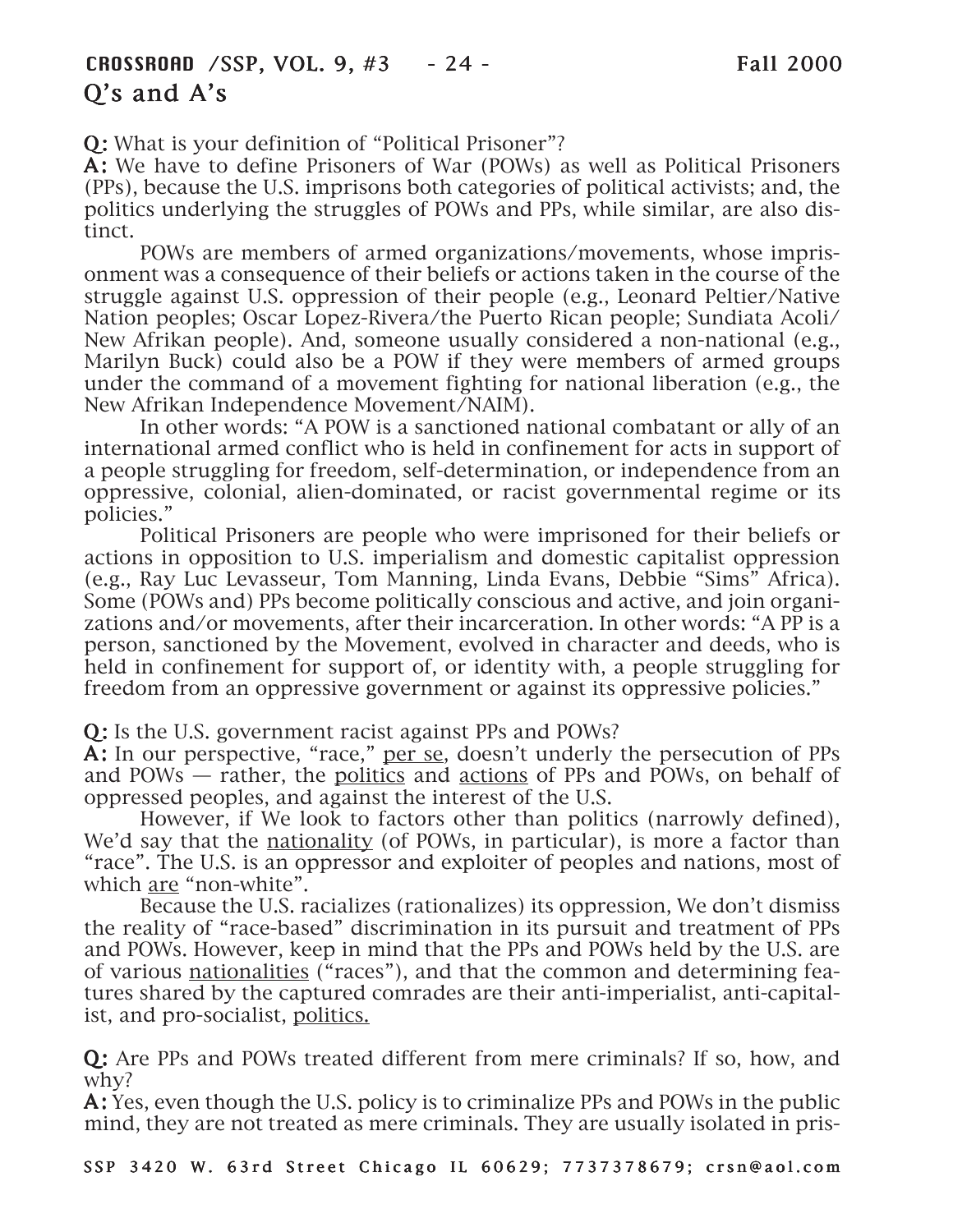Q: What is your definition of "Political Prisoner"?

A: We have to define Prisoners of War (POWs) as well as Political Prisoners (PPs), because the U.S. imprisons both categories of political activists; and, the politics underlying the struggles of POWs and PPs, while similar, are also distinct.

POWs are members of armed organizations/movements, whose imprisonment was a consequence of their beliefs or actions taken in the course of the struggle against U.S. oppression of their people (e.g., Leonard Peltier/Native Nation peoples; Oscar Lopez-Rivera/the Puerto Rican people; Sundiata Acoli/ New Afrikan people). And, someone usually considered a non-national (e.g., Marilyn Buck) could also be a POW if they were members of armed groups under the command of a movement fighting for national liberation (e.g., the New Afrikan Independence Movement/NAIM).

In other words: "A POW is a sanctioned national combatant or ally of an international armed conflict who is held in confinement for acts in support of a people struggling for freedom, self-determination, or independence from an oppressive, colonial, alien-dominated, or racist governmental regime or its policies."

Political Prisoners are people who were imprisoned for their beliefs or actions in opposition to U.S. imperialism and domestic capitalist oppression (e.g., Ray Luc Levasseur, Tom Manning, Linda Evans, Debbie "Sims" Africa). Some (POWs and) PPs become politically conscious and active, and join organizations and/or movements, after their incarceration. In other words: "A PP is a person, sanctioned by the Movement, evolved in character and deeds, who is held in confinement for support of, or identity with, a people struggling for freedom from an oppressive government or against its oppressive policies."

**Q:** Is the U.S. government racist against PPs and POWs?

A: In our perspective, "race," per se, doesn't underly the persecution of PPs and POWs — rather, the politics and actions of PPs and POWs, on behalf of oppressed peoples, and against the interest of the U.S.

However, if We look to factors other than politics (narrowly defined), We'd say that the nationality (of POWs, in particular), is more a factor than "race". The U.S. is an oppressor and exploiter of peoples and nations, most of which are "non-white".

Because the U.S. racializes (rationalizes) its oppression, We don't dismiss the reality of "race-based" discrimination in its pursuit and treatment of PPs and POWs. However, keep in mind that the PPs and POWs held by the U.S. are of various nationalities ("races"), and that the common and determining features shared by the captured comrades are their anti-imperialist, anti-capitalist, and pro-socialist, politics.

**Q:** Are PPs and POWs treated different from mere criminals? If so, how, and why?

A: Yes, even though the U.S. policy is to criminalize PPs and POWs in the public mind, they are not treated as mere criminals. They are usually isolated in pris-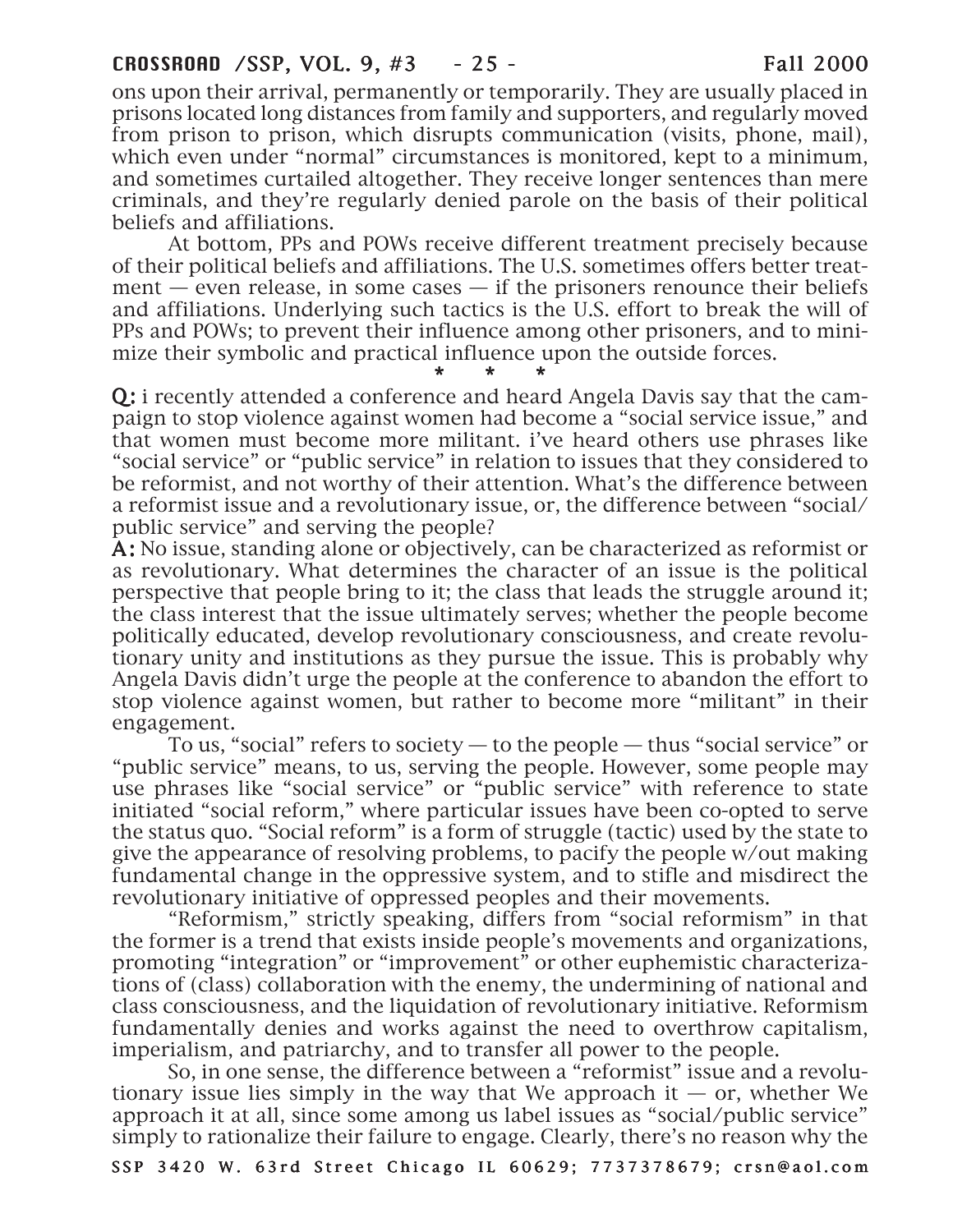#### CROSSROAD /SSP, VOL. 9, #3 - 25 - Fall 2000

ons upon their arrival, permanently or temporarily. They are usually placed in prisons located long distances from family and supporters, and regularly moved from prison to prison, which disrupts communication (visits, phone, mail), which even under "normal" circumstances is monitored, kept to a minimum, and sometimes curtailed altogether. They receive longer sentences than mere criminals, and they're regularly denied parole on the basis of their political beliefs and affiliations.

At bottom, PPs and POWs receive different treatment precisely because of their political beliefs and affiliations. The U.S. sometimes offers better treat $ment$  — even release, in some cases — if the prisoners renounce their beliefs and affiliations. Underlying such tactics is the U.S. effort to break the will of PPs and POWs; to prevent their influence among other prisoners, and to minimize their symbolic and practical influence upon the outside forces.

\* \* \*

**Q:** i recently attended a conference and heard Angela Davis say that the campaign to stop violence against women had become a "social service issue," and that women must become more militant. i've heard others use phrases like "social service" or "public service" in relation to issues that they considered to be reformist, and not worthy of their attention. What's the difference between a reformist issue and a revolutionary issue, or, the difference between "social/ public service" and serving the people?

 $\overline{A}$ : No issue, standing alone or objectively, can be characterized as reformist or as revolutionary. What determines the character of an issue is the political perspective that people bring to it; the class that leads the struggle around it; the class interest that the issue ultimately serves; whether the people become politically educated, develop revolutionary consciousness, and create revolutionary unity and institutions as they pursue the issue. This is probably why Angela Davis didn't urge the people at the conference to abandon the effort to stop violence against women, but rather to become more "militant" in their engagement.

To us, "social" refers to society  $-$  to the people  $-$  thus "social service" or "public service" means, to us, serving the people. However, some people may use phrases like "social service" or "public service" with reference to state initiated "social reform," where particular issues have been co-opted to serve the status quo. "Social reform" is a form of struggle (tactic) used by the state to give the appearance of resolving problems, to pacify the people w/out making fundamental change in the oppressive system, and to stifle and misdirect the revolutionary initiative of oppressed peoples and their movements.

"Reformism," strictly speaking, differs from "social reformism" in that the former is a trend that exists inside people's movements and organizations, promoting "integration" or "improvement" or other euphemistic characterizations of (class) collaboration with the enemy, the undermining of national and class consciousness, and the liquidation of revolutionary initiative. Reformism fundamentally denies and works against the need to overthrow capitalism, imperialism, and patriarchy, and to transfer all power to the people.

So, in one sense, the difference between a "reformist" issue and a revolutionary issue lies simply in the way that We approach it  $-$  or, whether We approach it at all, since some among us label issues as "social/public service" simply to rationalize their failure to engage. Clearly, there's no reason why the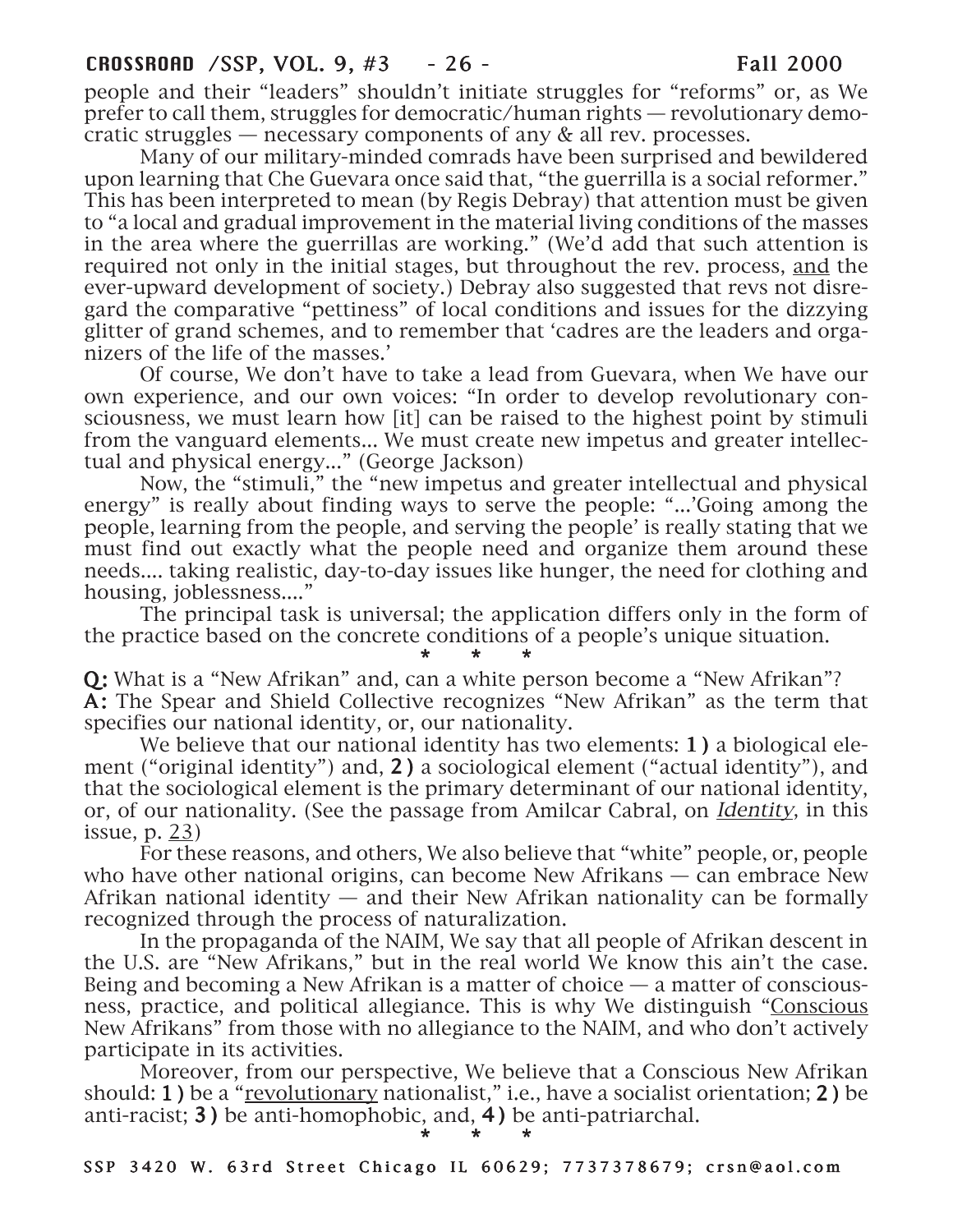#### CROSSROAD /SSP, VOL. 9, #3 - 26 - Fall 2000

people and their "leaders" shouldn't initiate struggles for "reforms" or, as We prefer to call them, struggles for democratic/human rights — revolutionary democratic struggles — necessary components of any & all rev. processes.

Many of our military-minded comrads have been surprised and bewildered upon learning that Che Guevara once said that, "the guerrilla is a social reformer." This has been interpreted to mean (by Regis Debray) that attention must be given to "a local and gradual improvement in the material living conditions of the masses in the area where the guerrillas are working." (We'd add that such attention is required not only in the initial stages, but throughout the rev. process, and the ever-upward development of society.) Debray also suggested that revs not disregard the comparative "pettiness" of local conditions and issues for the dizzying glitter of grand schemes, and to remember that 'cadres are the leaders and organizers of the life of the masses.'

Of course, We don't have to take a lead from Guevara, when We have our own experience, and our own voices: "In order to develop revolutionary consciousness, we must learn how [it] can be raised to the highest point by stimuli from the vanguard elements... We must create new impetus and greater intellectual and physical energy..." (George Jackson)

Now, the "stimuli," the "new impetus and greater intellectual and physical energy" is really about finding ways to serve the people: "...'Going among the people, learning from the people, and serving the people' is really stating that we must find out exactly what the people need and organize them around these needs.... taking realistic, day-to-day issues like hunger, the need for clothing and housing, joblessness...."

The principal task is universal; the application differs only in the form of the practice based on the concrete conditions of a people's unique situation.

\* \* \*

**Q:** What is a "New Afrikan" and, can a white person become a "New Afrikan"? A: The Spear and Shield Collective recognizes "New Afrikan" as the term that specifies our national identity, or, our nationality.

We believe that our national identity has two elements:  $1$ ) a biological element ("original identity") and, 2) a sociological element ("actual identity"), and that the sociological element is the primary determinant of our national identity, or, of our nationality. (See the passage from Amilcar Cabral, on Identity, in this issue, p. 23)

For these reasons, and others, We also believe that "white" people, or, people who have other national origins, can become New Afrikans — can embrace New Afrikan national identity — and their New Afrikan nationality can be formally recognized through the process of naturalization.

In the propaganda of the NAIM, We say that all people of Afrikan descent in the U.S. are "New Afrikans," but in the real world We know this ain't the case. Being and becoming a New Afrikan is a matter of choice — a matter of consciousness, practice, and political allegiance. This is why We distinguish "Conscious New Afrikans" from those with no allegiance to the NAIM, and who don't actively participate in its activities.

Moreover, from our perspective, We believe that a Conscious New Afrikan should: 1 ) be a "revolutionary nationalist," i.e., have a socialist orientation; 2 ) be anti-racist;  $3$ ) be anti-homophobic, and,  $4$ ) be anti-patriarchal.

SSP 3420 W. 63rd Street Chicago IL 60629; 7737378679; crsn@aol.com

\* \* \*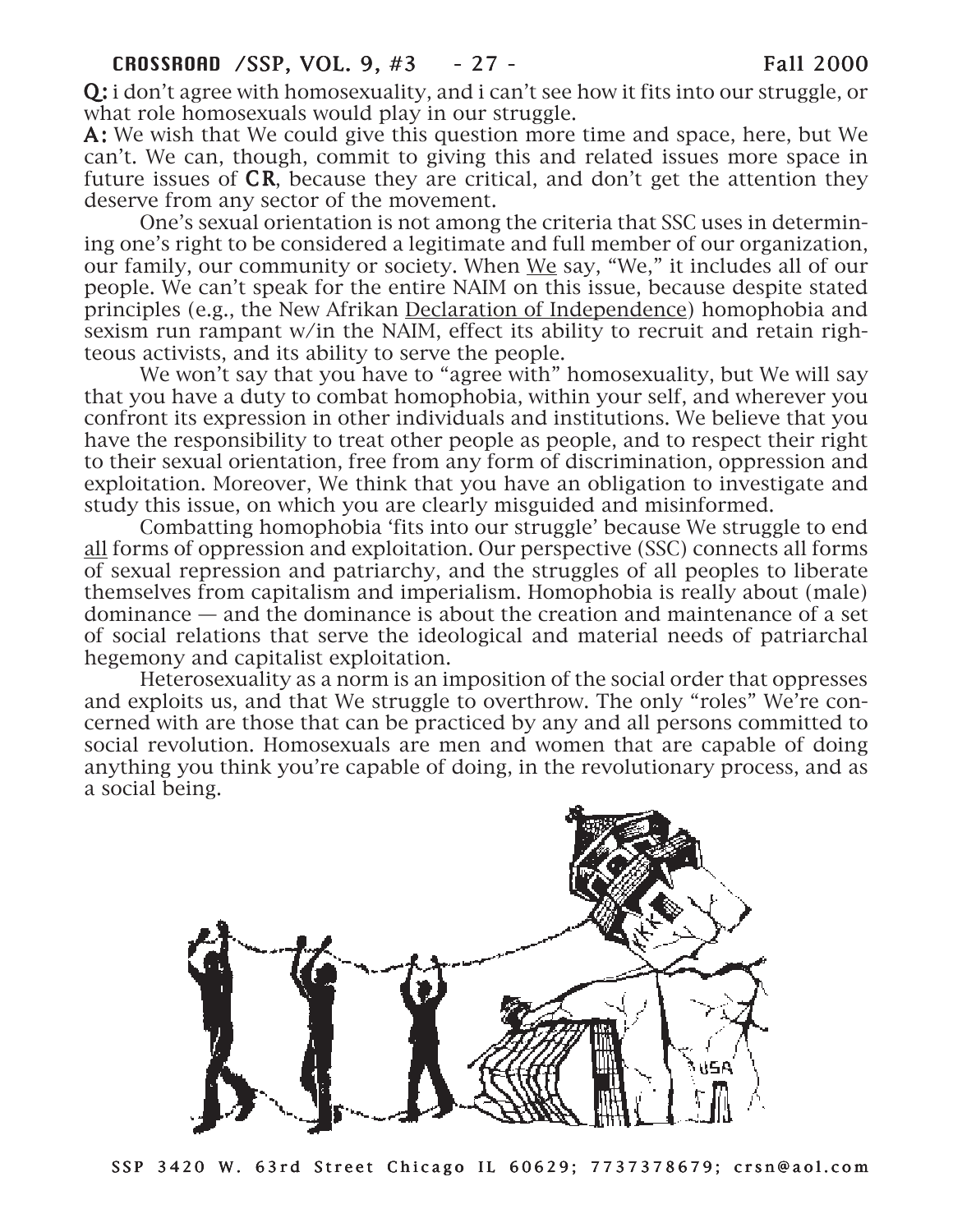Q: i don't agree with homosexuality, and i can't see how it fits into our struggle, or what role homosexuals would play in our struggle.

A: We wish that We could give this question more time and space, here, but We can't. We can, though, commit to giving this and related issues more space in future issues of  $CR$ , because they are critical, and don't get the attention they deserve from any sector of the movement.

One's sexual orientation is not among the criteria that SSC uses in determining one's right to be considered a legitimate and full member of our organization, our family, our community or society. When We say, "We," it includes all of our people. We can't speak for the entire NAIM on this issue, because despite stated principles (e.g., the New Afrikan Declaration of Independence) homophobia and sexism run rampant w/in the NAIM, effect its ability to recruit and retain righteous activists, and its ability to serve the people.

We won't say that you have to "agree with" homosexuality, but We will say that you have a duty to combat homophobia, within your self, and wherever you confront its expression in other individuals and institutions. We believe that you have the responsibility to treat other people as people, and to respect their right to their sexual orientation, free from any form of discrimination, oppression and exploitation. Moreover, We think that you have an obligation to investigate and study this issue, on which you are clearly misguided and misinformed.

Combatting homophobia 'fits into our struggle' because We struggle to end all forms of oppression and exploitation. Our perspective (SSC) connects all forms of sexual repression and patriarchy, and the struggles of all peoples to liberate themselves from capitalism and imperialism. Homophobia is really about (male) dominance — and the dominance is about the creation and maintenance of a set of social relations that serve the ideological and material needs of patriarchal hegemony and capitalist exploitation.

Heterosexuality as a norm is an imposition of the social order that oppresses and exploits us, and that We struggle to overthrow. The only "roles" We're concerned with are those that can be practiced by any and all persons committed to social revolution. Homosexuals are men and women that are capable of doing anything you think you're capable of doing, in the revolutionary process, and as a social being.

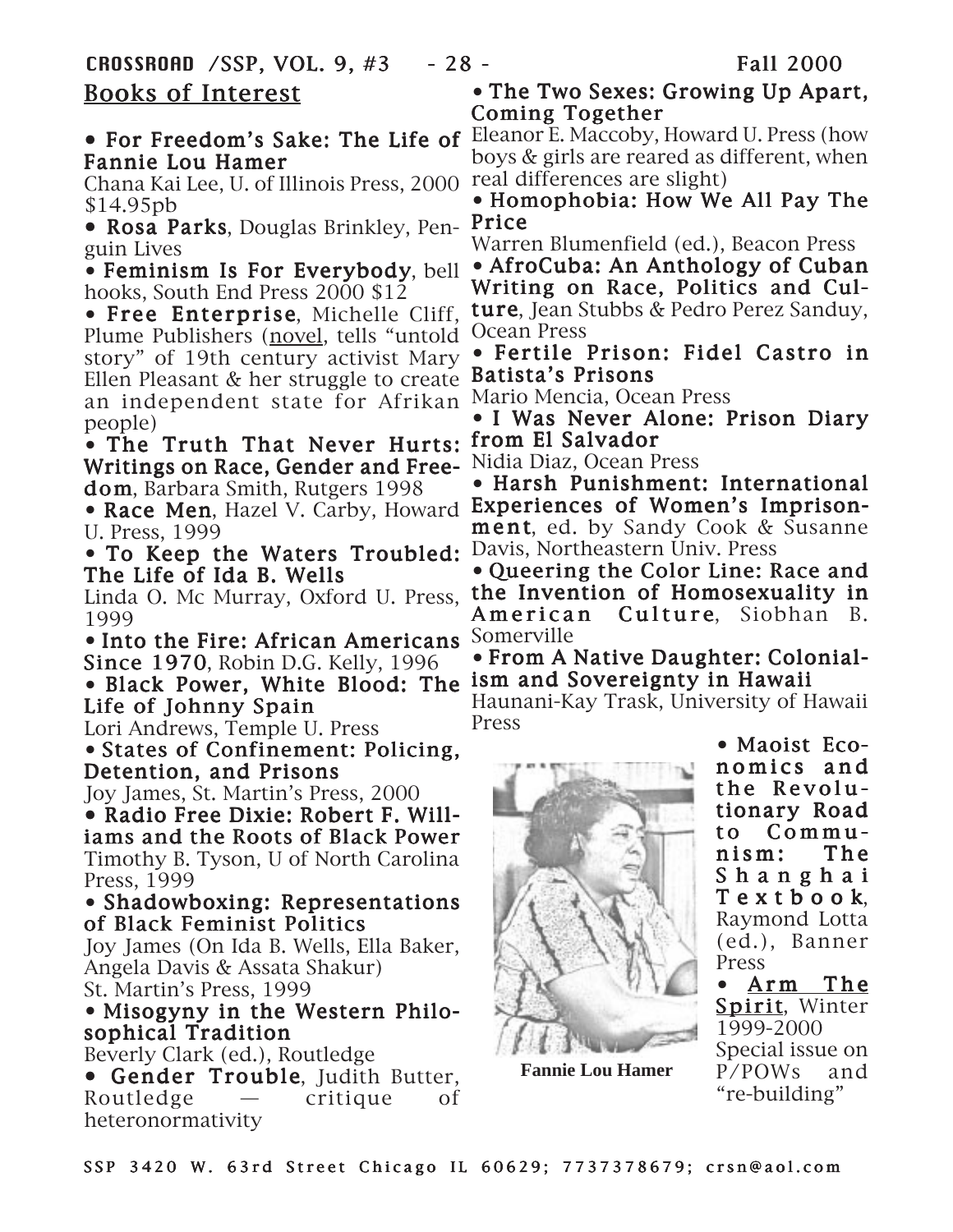## Fannie Lou Hamer

Chana Kai Lee, U. of Illinois Press, 2000 real differences are slight) \$14.95pb

• Rosa Parks, Douglas Brinkley, Penguin Lives

• Feminism Is For Everybody, bell hooks, South End Press 2000 \$12

Ellen Pleasant & her struggle to create Batista's Prisons • Free Enterprise, Michelle Cliff, Plume Publishers (novel, tells "untold story" of 19th century activist Mary an independent state for Afrikan people)

• The Truth That Never Hurts: from El Salvador Writings on Race, Gender and Free- Nidia Diaz, Ocean Press dom, Barbara Smith, Rutgers 1998

U. Press, 1999

• To Keep the Waters Troubled: The Life of Ida B. Wells

Linda O. Mc Murray, Oxford U. Press, 1999

• Into the Fire: African Americans **Since 1970**, Robin D.G. Kelly, 1996

• Black Power, White Blood: The Life of Johnny Spain

Lori Andrews, Temple U. Press

• States of Confinement: Policing, Detention, and Prisons

Joy James, St. Martin's Press, 2000

• Radio Free Dixie: Robert F. Williams and the Roots of Black Power Timothy B. Tyson, U of North Carolina Press, 1999

• Shadowboxing: Representations of Black Feminist Politics

Joy James (On Ida B. Wells, Ella Baker, Angela Davis & Assata Shakur) St. Martin's Press, 1999

• Misogyny in the Western Philosophical Tradition

Beverly Clark (ed.), Routledge • Gender Trouble, Judith Butter, Routledge — critique of heteronormativity

### • The Two Sexes: Growing Up Apart, Coming Together

• For Freedom's Sake: The Life of  $E$ leanor E. Maccoby, Howard U. Press (how boys & girls are reared as different, when

• Homophobia: How We All Pay The Price

Warren Blumenfield (ed.), Beacon Press

• AfroCuba: An Anthology of Cuban Writing on Race, Politics and Culture, Jean Stubbs & Pedro Perez Sanduy, Ocean Press

• Fertile Prison: Fidel Castro in

Mario Mencia, Ocean Press

• I Was Never Alone: Prison Diary

• Harsh Punishment: International • Race Men, Hazel V. Carby, Howard Experiences of Women's Imprisonment, ed. by Sandy Cook & Susanne Davis, Northeastern Univ. Press

• Queering the Color Line: Race and the Invention of Homosexuality in American Culture, Siobhan B. Somerville

• From A Native Daughter: Colonialism and Sovereignty in Hawaii

Haunani-Kay Trask, University of Hawaii Press



**Fannie Lou Hamer**

• Maoist Economics and the Revolutionary Road to Communism: The Shanghai  $T e$  x t b o o k, Raymond Lotta (ed.), Banner Press

• Arm The Spirit, Winter 1999-2000 Special issue on P/POWs and "re-building"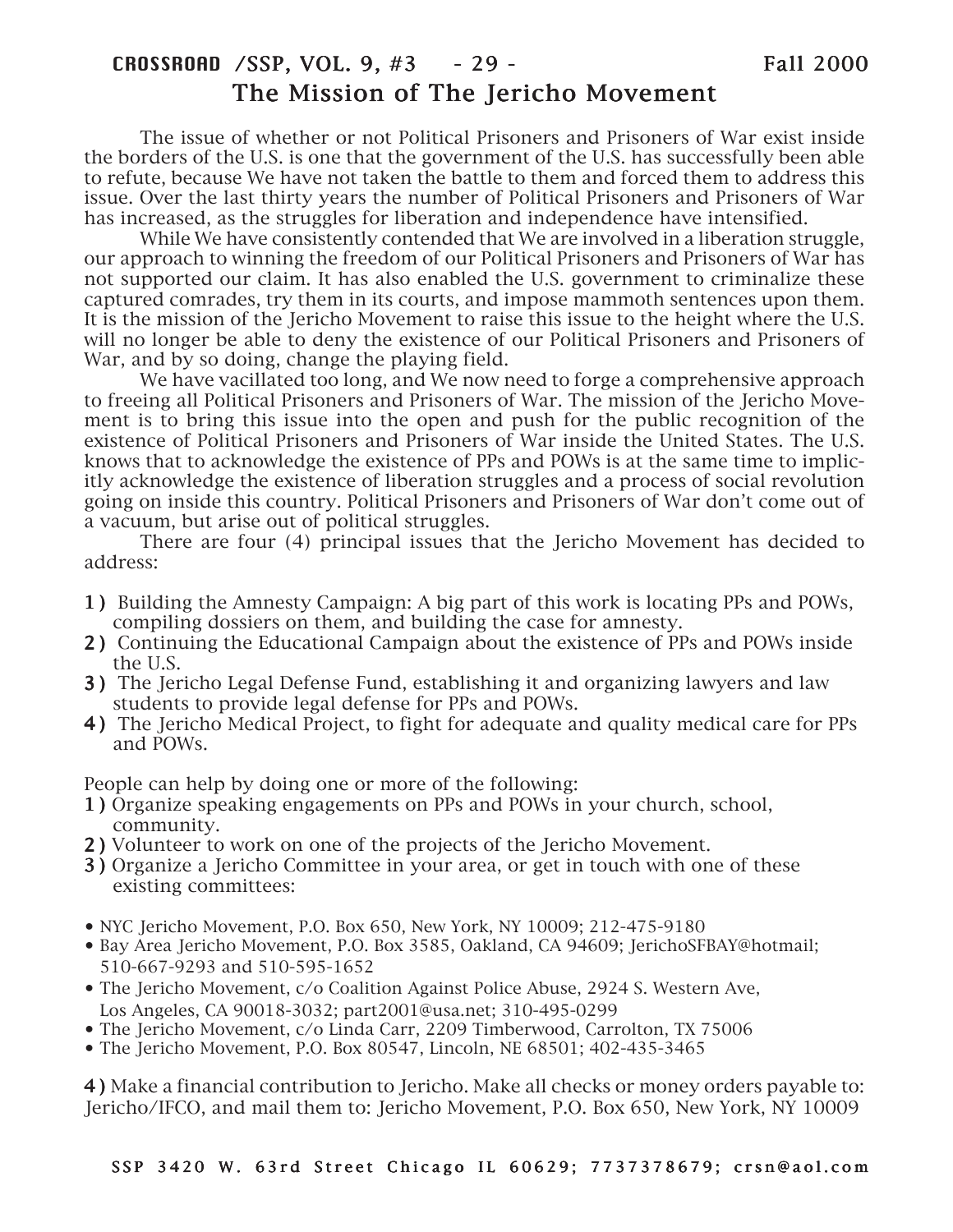### CROSSROAD /SSP, VOL. 9, #3 - 29 - Fall 2000 The Mission of The Jericho Movement

The issue of whether or not Political Prisoners and Prisoners of War exist inside the borders of the U.S. is one that the government of the U.S. has successfully been able to refute, because We have not taken the battle to them and forced them to address this issue. Over the last thirty years the number of Political Prisoners and Prisoners of War has increased, as the struggles for liberation and independence have intensified.

While We have consistently contended that We are involved in a liberation struggle, our approach to winning the freedom of our Political Prisoners and Prisoners of War has not supported our claim. It has also enabled the U.S. government to criminalize these captured comrades, try them in its courts, and impose mammoth sentences upon them. It is the mission of the Jericho Movement to raise this issue to the height where the U.S. will no longer be able to deny the existence of our Political Prisoners and Prisoners of War, and by so doing, change the playing field.

We have vacillated too long, and We now need to forge a comprehensive approach to freeing all Political Prisoners and Prisoners of War. The mission of the Jericho Movement is to bring this issue into the open and push for the public recognition of the existence of Political Prisoners and Prisoners of War inside the United States. The U.S. knows that to acknowledge the existence of PPs and POWs is at the same time to implicitly acknowledge the existence of liberation struggles and a process of social revolution going on inside this country. Political Prisoners and Prisoners of War don't come out of a vacuum, but arise out of political struggles.

There are four (4) principal issues that the Jericho Movement has decided to address:

- 1) Building the Amnesty Campaign: A big part of this work is locating PPs and POWs, compiling dossiers on them, and building the case for amnesty.
- 2) Continuing the Educational Campaign about the existence of PPs and POWs inside the U.S.
- 3) The Jericho Legal Defense Fund, establishing it and organizing lawyers and law students to provide legal defense for PPs and POWs.
- 4) The Jericho Medical Project, to fight for adequate and quality medical care for PPs and POWs.

People can help by doing one or more of the following:

- 1) Organize speaking engagements on PPs and POWs in your church, school, community.
- 2) Volunteer to work on one of the projects of the Jericho Movement.
- 3) Organize a Jericho Committee in your area, or get in touch with one of these existing committees:
- NYC Jericho Movement, P.O. Box 650, New York, NY 10009; 212-475-9180
- Bay Area Jericho Movement, P.O. Box 3585, Oakland, CA 94609; JerichoSFBAY@hotmail; 510-667-9293 and 510-595-1652
- The Jericho Movement, c/o Coalition Against Police Abuse, 2924 S. Western Ave, Los Angeles, CA 90018-3032; part2001@usa.net; 310-495-0299
- The Jericho Movement, c/o Linda Carr, 2209 Timberwood, Carrolton, TX 75006
- The Jericho Movement, P.O. Box 80547, Lincoln, NE 68501; 402-435-3465

4 ) Make a financial contribution to Jericho. Make all checks or money orders payable to: 4 ) Jericho/IFCO, and mail them to: Jericho Movement, P.O. Box 650, New York, NY 10009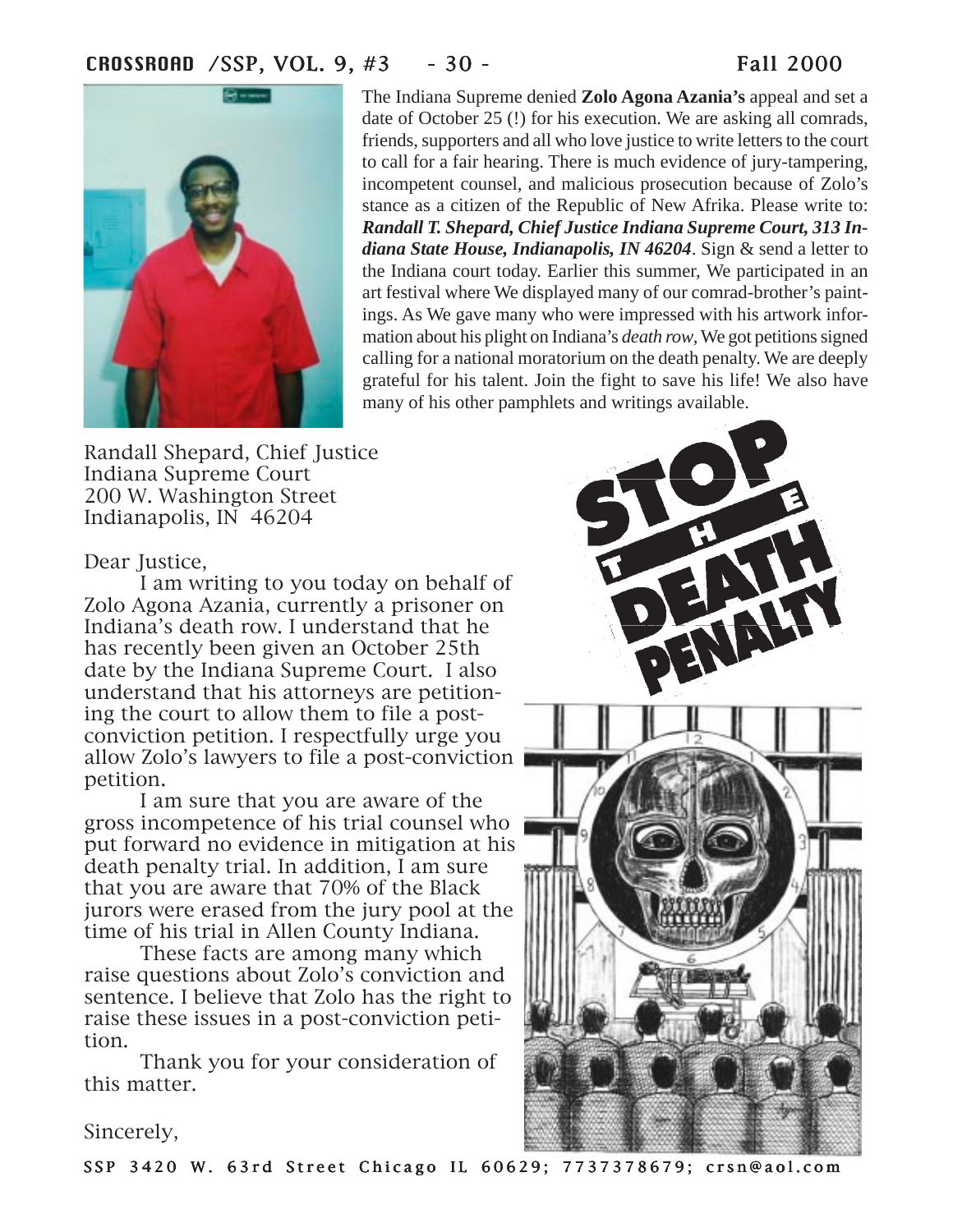#### CROSSROAD / SSP, VOL. 9, #3 - 30 - Fall 2000



The Indiana Supreme denied **Zolo Agona Azania's** appeal and set a date of October 25 (!) for his execution. We are asking all comrads, friends, supporters and all who love justice to write letters to the court to call for a fair hearing. There is much evidence of jury-tampering, incompetent counsel, and malicious prosecution because of Zolo's stance as a citizen of the Republic of New Afrika. Please write to: *Randall T. Shepard, Chief Justice Indiana Supreme Court, 313 Indiana State House, Indianapolis, IN 46204*. Sign & send a letter to the Indiana court today. Earlier this summer, We participated in an art festival where We displayed many of our comrad-brother's paintings. As We gave many who were impressed with his artwork information about his plight on Indiana's *death row*, We got petitions signed calling for a national moratorium on the death penalty. We are deeply grateful for his talent. Join the fight to save his life! We also have many of his other pamphlets and writings available.

Randall Shepard, Chief Justice Indiana Supreme Court 200 W. Washington Street Indianapolis, IN 46204

#### Dear Justice,

I am writing to you today on behalf of Zolo Agona Azania, currently a prisoner on Indiana's death row. I understand that he has recently been given an October 25th date by the Indiana Supreme Court. I also understand that his attorneys are petitioning the court to allow them to file a postconviction petition. I respectfully urge you allow Zolo's lawyers to file a post-conviction petition.

I am sure that you are aware of the gross incompetence of his trial counsel who put forward no evidence in mitigation at his death penalty trial. In addition, I am sure that you are aware that 70% of the Black jurors were erased from the jury pool at the time of his trial in Allen County Indiana.

These facts are among many which raise questions about Zolo's conviction and sentence. I believe that Zolo has the right to raise these issues in a post-conviction petition.

Thank you for your consideration of this matter.



Sincerely,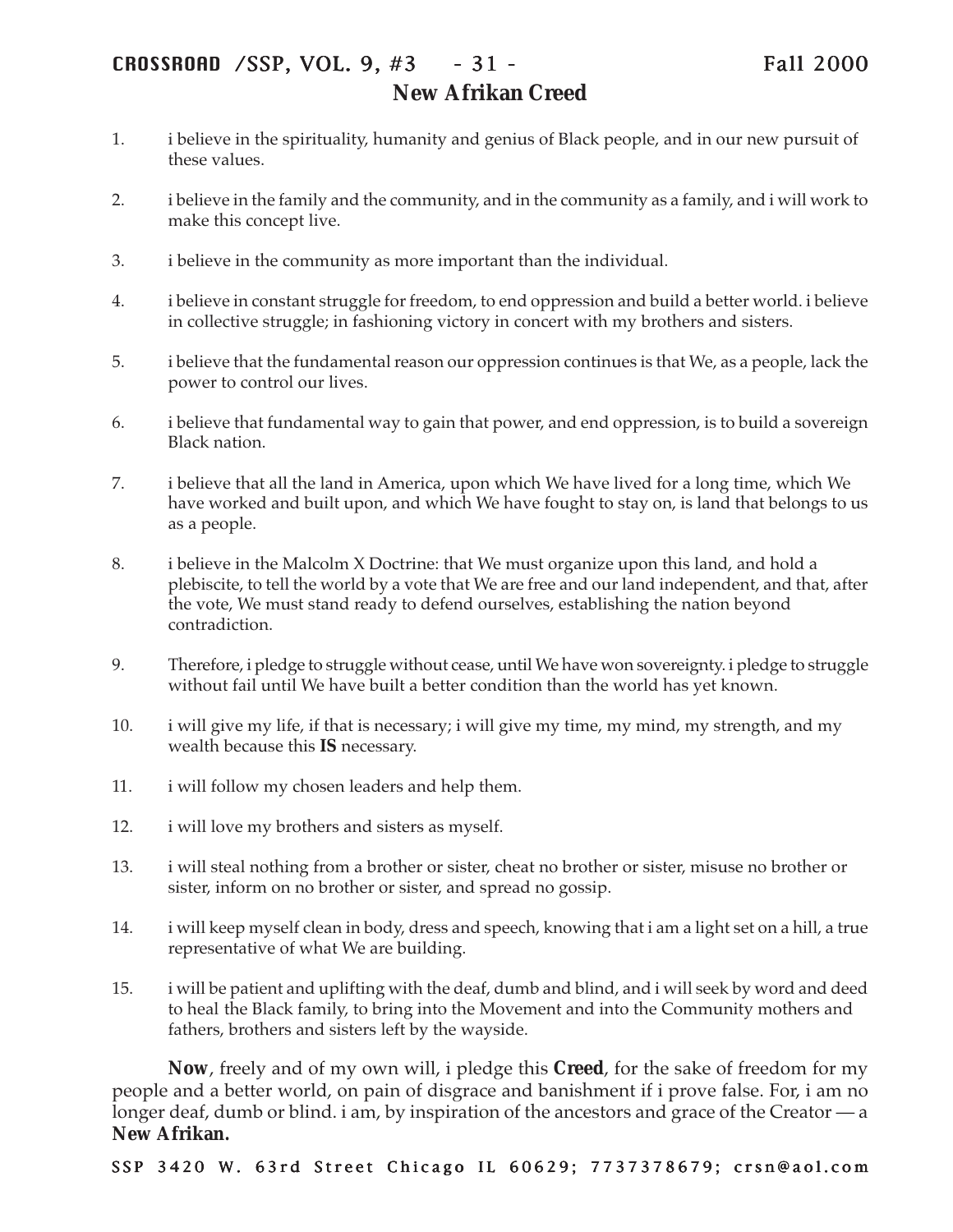- 1. i believe in the spirituality, humanity and genius of Black people, and in our new pursuit of these values.
- 2. i believe in the family and the community, and in the community as a family, and i will work to make this concept live.
- 3. i believe in the community as more important than the individual.
- 4. i believe in constant struggle for freedom, to end oppression and build a better world. i believe in collective struggle; in fashioning victory in concert with my brothers and sisters.
- 5. i believe that the fundamental reason our oppression continues is that We, as a people, lack the power to control our lives.
- 6. i believe that fundamental way to gain that power, and end oppression, is to build a sovereign Black nation.
- 7. i believe that all the land in America, upon which We have lived for a long time, which We have worked and built upon, and which We have fought to stay on, is land that belongs to us as a people.
- 8. i believe in the Malcolm X Doctrine: that We must organize upon this land, and hold a plebiscite, to tell the world by a vote that We are free and our land independent, and that, after the vote, We must stand ready to defend ourselves, establishing the nation beyond contradiction.
- 9. Therefore, i pledge to struggle without cease, until We have won sovereignty. i pledge to struggle without fail until We have built a better condition than the world has yet known.
- 10. i will give my life, if that is necessary; i will give my time, my mind, my strength, and my wealth because this **IS** necessary.
- 11. i will follow my chosen leaders and help them.
- 12. i will love my brothers and sisters as myself.
- 13. i will steal nothing from a brother or sister, cheat no brother or sister, misuse no brother or sister, inform on no brother or sister, and spread no gossip.
- 14. i will keep myself clean in body, dress and speech, knowing that i am a light set on a hill, a true representative of what We are building.
- 15. i will be patient and uplifting with the deaf, dumb and blind, and i will seek by word and deed to heal the Black family, to bring into the Movement and into the Community mothers and fathers, brothers and sisters left by the wayside.

**Now**, freely and of my own will, i pledge this **Creed**, for the sake of freedom for my people and a better world, on pain of disgrace and banishment if i prove false. For, i am no longer deaf, dumb or blind. i am, by inspiration of the ancestors and grace of the Creator — a **New Afrikan.**